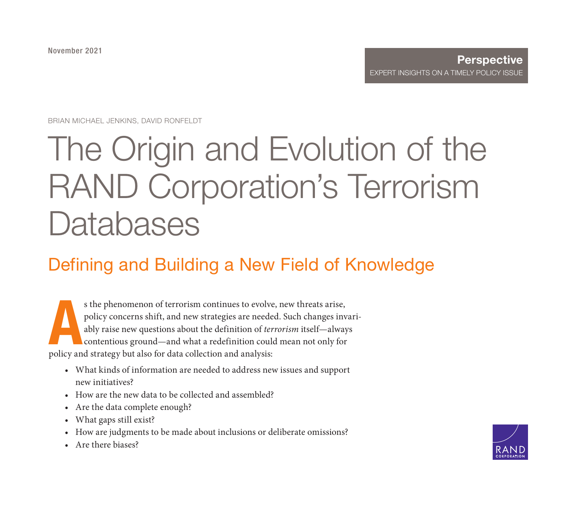November 2021

#### **Perspective** [EXPERT INSIGHTS ON A TIMELY POL](https://www.rand.org/pubs/perspectives/PEA1203-1.html)ICY ISSUE

BRIAN MICHAEL JENKINS, DAVID RONFELDT

# The Origin and Evolution of the RAND Corporation's Terrorism **Databases**

# Defining and Building a New Field of Knowledge

A s the phenomenon of terrorism continues to evolve, new threats arise, policy concerns shift, and new strategies are needed. Such changes invariably raise new questions about the definition of terrorism itself—always contentious ground—and what a redefinition could mean not only for policy and strategy but also for data collection and analysis:

- What kinds of information are needed to address new issues and support new initiatives?
- How are the new data to be collected and assembled?
- Are the data complete enough?
- What gaps still exist?
- How are judgments to be made about inclusions or deliberate omissions?
- Are there biases?

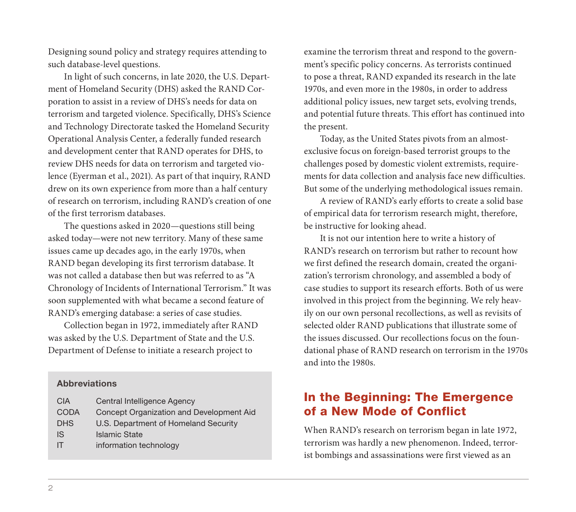Designing sound policy and strategy requires attending to such database-level questions.

In light of such concerns, in late 2020, the U.S. Department of Homeland Security (DHS) asked the RAND Corporation to assist in a review of DHS's needs for data on terrorism and targeted violence. Specifically, DHS's Science and Technology Directorate tasked the Homeland Security Operational Analysis Center, a federally funded research and development center that RAND operates for DHS, to review DHS needs for data on terrorism and targeted violence (Eyerman et al., 2021). As part of that inquiry, RAND drew on its own experience from more than a half century of research on terrorism, including RAND's creation of one of the first terrorism databases.

The questions asked in 2020—questions still being asked today—were not new territory. Many of these same issues came up decades ago, in the early 1970s, when RAND began developing its first terrorism database. It was not called a database then but was referred to as "A Chronology of Incidents of International Terrorism." It was soon supplemented with what became a second feature of RAND's emerging database: a series of case studies.

Collection began in 1972, immediately after RAND was asked by the U.S. Department of State and the U.S. Department of Defense to initiate a research project to

#### **Abbreviations**

| <b>CIA</b>  | Central Intelligence Agency              |
|-------------|------------------------------------------|
| <b>CODA</b> | Concept Organization and Development Aid |
| <b>DHS</b>  | U.S. Department of Homeland Security     |
| <b>IS</b>   | <b>Islamic State</b>                     |
| IT          | information technology                   |

examine the terrorism threat and respond to the government's specific policy concerns. As terrorists continued to pose a threat, RAND expanded its research in the late 1970s, and even more in the 1980s, in order to address additional policy issues, new target sets, evolving trends, and potential future threats. This effort has continued into the present.

Today, as the United States pivots from an almostexclusive focus on foreign-based terrorist groups to the challenges posed by domestic violent extremists, requirements for data collection and analysis face new difficulties. But some of the underlying methodological issues remain.

A review of RAND's early efforts to create a solid base of empirical data for terrorism research might, therefore, be instructive for looking ahead.

It is not our intention here to write a history of RAND's research on terrorism but rather to recount how we first defined the research domain, created the organization's terrorism chronology, and assembled a body of case studies to support its research efforts. Both of us were involved in this project from the beginning. We rely heavily on our own personal recollections, as well as revisits of selected older RAND publications that illustrate some of the issues discussed. Our recollections focus on the foundational phase of RAND research on terrorism in the 1970s and into the 1980s.

### In the Beginning: The Emergence of a New Mode of Conflict

When RAND's research on terrorism began in late 1972, terrorism was hardly a new phenomenon. Indeed, terrorist bombings and assassinations were first viewed as an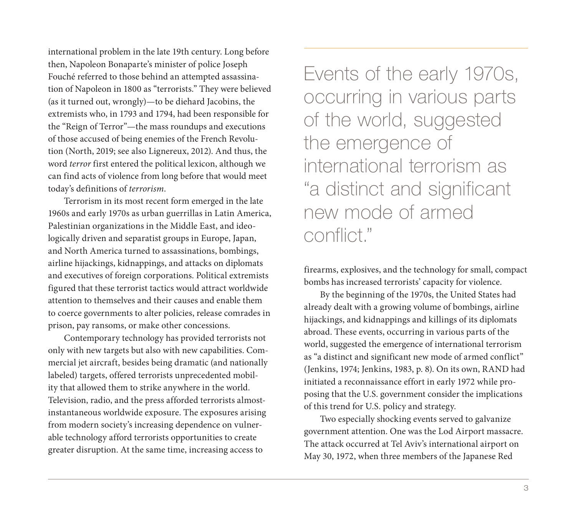international problem in the late 19th century. Long before then, Napoleon Bonaparte's minister of police Joseph Fouché referred to those behind an attempted assassination of Napoleon in 1800 as "terrorists." They were believed (as it turned out, wrongly)—to be diehard Jacobins, the extremists who, in 1793 and 1794, had been responsible for the "Reign of Terror"—the mass roundups and executions of those accused of being enemies of the French Revolution (North, 2019; see also Lignereux, 2012). And thus, the word terror first entered the political lexicon, although we can find acts of violence from long before that would meet today's definitions of terrorism.

Terrorism in its most recent form emerged in the late 1960s and early 1970s as urban guerrillas in Latin America, Palestinian organizations in the Middle East, and ideologically driven and separatist groups in Europe, Japan, and North America turned to assassinations, bombings, airline hijackings, kidnappings, and attacks on diplomats and executives of foreign corporations. Political extremists figured that these terrorist tactics would attract worldwide attention to themselves and their causes and enable them to coerce governments to alter policies, release comrades in prison, pay ransoms, or make other concessions.

Contemporary technology has provided terrorists not only with new targets but also with new capabilities. Commercial jet aircraft, besides being dramatic (and nationally labeled) targets, offered terrorists unprecedented mobility that allowed them to strike anywhere in the world. Television, radio, and the press afforded terrorists almostinstantaneous worldwide exposure. The exposures arising from modern society's increasing dependence on vulnerable technology afford terrorists opportunities to create greater disruption. At the same time, increasing access to

Events of the early 1970s, occurring in various parts of the world, suggested the emergence of international terrorism as "a distinct and significant new mode of armed conflict."

firearms, explosives, and the technology for small, compact bombs has increased terrorists' capacity for violence.

By the beginning of the 1970s, the United States had already dealt with a growing volume of bombings, airline hijackings, and kidnappings and killings of its diplomats abroad. These events, occurring in various parts of the world, suggested the emergence of international terrorism as "a distinct and significant new mode of armed conflict" (Jenkins, 1974; Jenkins, 1983, p. 8). On its own, RAND had initiated a reconnaissance effort in early 1972 while proposing that the U.S. government consider the implications of this trend for U.S. policy and strategy.

Two especially shocking events served to galvanize government attention. One was the Lod Airport massacre. The attack occurred at Tel Aviv's international airport on May 30, 1972, when three members of the Japanese Red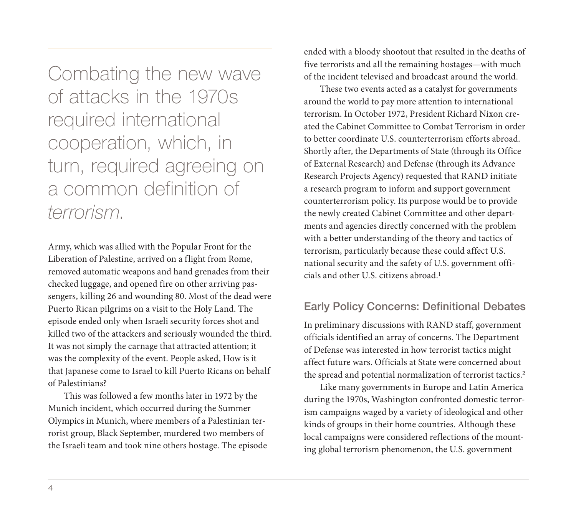Combating the new wave of attacks in the 1970s required international cooperation, which, in turn, required agreeing on a common definition of terrorism.

Army, which was allied with the Popular Front for the Liberation of Palestine, arrived on a flight from Rome, removed automatic weapons and hand grenades from their checked luggage, and opened fire on other arriving passengers, killing 26 and wounding 80. Most of the dead were Puerto Rican pilgrims on a visit to the Holy Land. The episode ended only when Israeli security forces shot and killed two of the attackers and seriously wounded the third. It was not simply the carnage that attracted attention; it was the complexity of the event. People asked, How is it that Japanese come to Israel to kill Puerto Ricans on behalf of Palestinians?

This was followed a few months later in 1972 by the Munich incident, which occurred during the Summer Olympics in Munich, where members of a Palestinian terrorist group, Black September, murdered two members of the Israeli team and took nine others hostage. The episode ended with a bloody shootout that resulted in the deaths of five terrorists and all the remaining hostages—with much of the incident televised and broadcast around the world.

These two events acted as a catalyst for governments around the world to pay more attention to international terrorism. In October 1972, President Richard Nixon created the Cabinet Committee to Combat Terrorism in order to better coordinate U.S. counterterrorism efforts abroad. Shortly after, the Departments of State (through its Office of External Research) and Defense (through its Advance Research Projects Agency) requested that RAND initiate a research program to inform and support government counterterrorism policy. Its purpose would be to provide the newly created Cabinet Committee and other departments and agencies directly concerned with the problem with a better understanding of the theory and tactics of terrorism, particularly because these could affect U.S. national security and the safety of U.S. government officials and other U.S. citizens abroad.1

#### Early Policy Concerns: Definitional Debates

In preliminary discussions with RAND staff, government officials identified an array of concerns. The Department of Defense was interested in how terrorist tactics might affect future wars. Officials at State were concerned about the spread and potential normalization of terrorist tactics.<sup>2</sup>

Like many governments in Europe and Latin America during the 1970s, Washington confronted domestic terrorism campaigns waged by a variety of ideological and other kinds of groups in their home countries. Although these local campaigns were considered reflections of the mounting global terrorism phenomenon, the U.S. government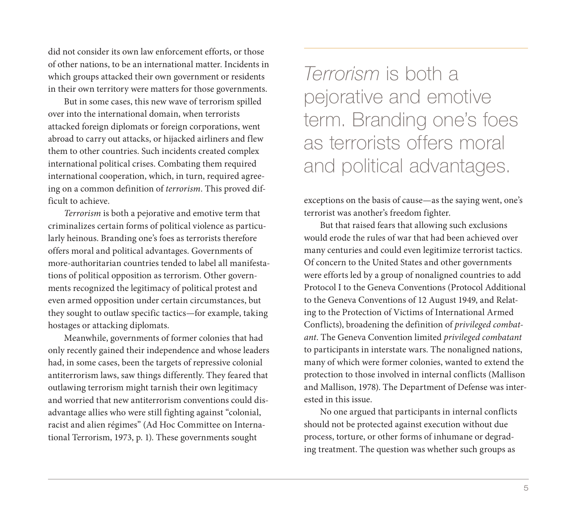did not consider its own law enforcement efforts, or those of other nations, to be an international matter. Incidents in which groups attacked their own government or residents in their own territory were matters for those governments.

But in some cases, this new wave of terrorism spilled over into the international domain, when terrorists attacked foreign diplomats or foreign corporations, went abroad to carry out attacks, or hijacked airliners and flew them to other countries. Such incidents created complex international political crises. Combating them required international cooperation, which, in turn, required agreeing on a common definition of terrorism. This proved difficult to achieve.

Terrorism is both a pejorative and emotive term that criminalizes certain forms of political violence as particularly heinous. Branding one's foes as terrorists therefore offers moral and political advantages. Governments of more-authoritarian countries tended to label all manifestations of political opposition as terrorism. Other governments recognized the legitimacy of political protest and even armed opposition under certain circumstances, but they sought to outlaw specific tactics—for example, taking hostages or attacking diplomats.

Meanwhile, governments of former colonies that had only recently gained their independence and whose leaders had, in some cases, been the targets of repressive colonial antiterrorism laws, saw things differently. They feared that outlawing terrorism might tarnish their own legitimacy and worried that new antiterrorism conventions could disadvantage allies who were still fighting against "colonial, racist and alien régimes" (Ad Hoc Committee on International Terrorism, 1973, p. 1). These governments sought

Terrorism is both a pejorative and emotive term. Branding one's foes as terrorists offers moral and political advantages.

exceptions on the basis of cause—as the saying went, one's terrorist was another's freedom fighter.

But that raised fears that allowing such exclusions would erode the rules of war that had been achieved over many centuries and could even legitimize terrorist tactics. Of concern to the United States and other governments were efforts led by a group of nonaligned countries to add Protocol I to the Geneva Conventions (Protocol Additional to the Geneva Conventions of 12 August 1949, and Relating to the Protection of Victims of International Armed Conflicts), broadening the definition of privileged combatant. The Geneva Convention limited privileged combatant to participants in interstate wars. The nonaligned nations, many of which were former colonies, wanted to extend the protection to those involved in internal conflicts (Mallison and Mallison, 1978). The Department of Defense was interested in this issue.

No one argued that participants in internal conflicts should not be protected against execution without due process, torture, or other forms of inhumane or degrading treatment. The question was whether such groups as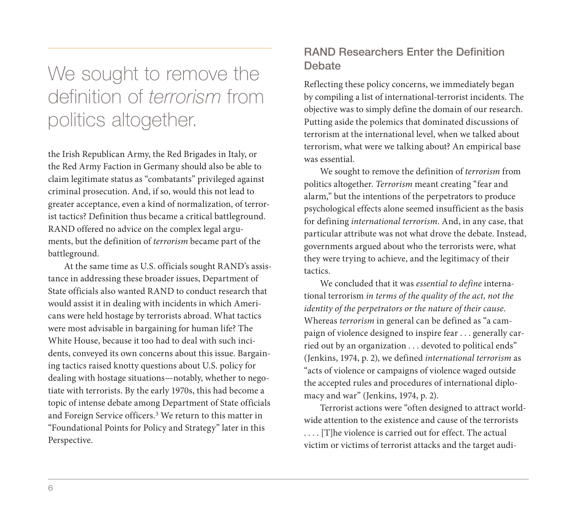# We sought to remove the definition of terrorism from politics altogether.

the Irish Republican Army, the Red Brigades in Italy, or the Red Army Faction in Germany should also be able to claim legitimate status as "combatants" privileged against criminal prosecution. And, if so, would this not lead to greater acceptance, even a kind of normalization, of terrorist tactics? Definition thus became a critical battleground. RAND offered no advice on the complex legal arguments, but the definition of terrorism became part of the battleground.

At the same time as U.S. officials sought RAND's assistance in addressing these broader issues, Department of State officials also wanted RAND to conduct research that would assist it in dealing with incidents in which Americans were held hostage by terrorists abroad. What tactics were most advisable in bargaining for human life? The White House, because it too had to deal with such incidents, conveyed its own concerns about this issue. Bargaining tactics raised knotty questions about U.S. policy for dealing with hostage situations—notably, whether to negotiate with terrorists. By the early 1970s, this had become a topic of intense debate among Department of State officials and Foreign Service officers.3 We return to this matter in "Foundational Points for Policy and Strategy" later in this Perspective.

### RAND Researchers Enter the Definition Debate

Reflecting these policy concerns, we immediately began by compiling a list of international-terrorist incidents. The objective was to simply define the domain of our research. Putting aside the polemics that dominated discussions of terrorism at the international level, when we talked about terrorism, what were we talking about? An empirical base was essential.

We sought to remove the definition of terrorism from politics altogether. Terrorism meant creating "fear and alarm," but the intentions of the perpetrators to produce psychological effects alone seemed insufficient as the basis for defining international terrorism. And, in any case, that particular attribute was not what drove the debate. Instead, governments argued about who the terrorists were, what they were trying to achieve, and the legitimacy of their tactics.

We concluded that it was essential to define international terrorism in terms of the quality of the act, not the identity of the perpetrators or the nature of their cause. Whereas terrorism in general can be defined as "a campaign of violence designed to inspire fear . . . generally carried out by an organization . . . devoted to political ends" (Jenkins, 1974, p. 2), we defined international terrorism as "acts of violence or campaigns of violence waged outside the accepted rules and procedures of international diplomacy and war" (Jenkins, 1974, p. 2).

Terrorist actions were "often designed to attract worldwide attention to the existence and cause of the terrorists . . . . [T]he violence is carried out for effect. The actual victim or victims of terrorist attacks and the target audi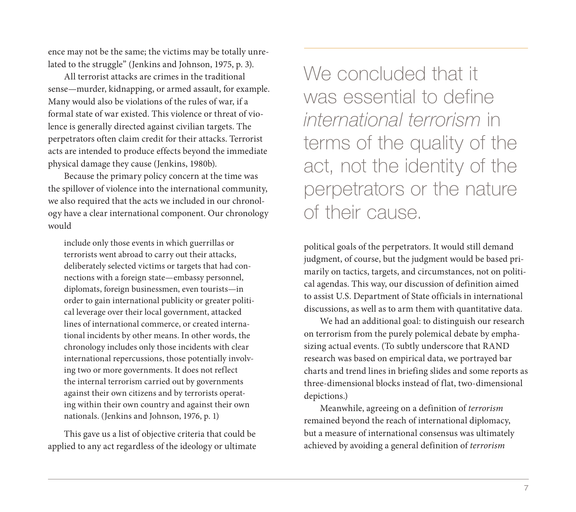ence may not be the same; the victims may be totally unrelated to the struggle" (Jenkins and Johnson, 1975, p. 3).

All terrorist attacks are crimes in the traditional sense—murder, kidnapping, or armed assault, for example. Many would also be violations of the rules of war, if a formal state of war existed. This violence or threat of violence is generally directed against civilian targets. The perpetrators often claim credit for their attacks. Terrorist acts are intended to produce effects beyond the immediate physical damage they cause (Jenkins, 1980b).

Because the primary policy concern at the time was the spillover of violence into the international community, we also required that the acts we included in our chronology have a clear international component. Our chronology would

include only those events in which guerrillas or terrorists went abroad to carry out their attacks, deliberately selected victims or targets that had connections with a foreign state—embassy personnel, diplomats, foreign businessmen, even tourists—in order to gain international publicity or greater political leverage over their local government, attacked lines of international commerce, or created international incidents by other means. In other words, the chronology includes only those incidents with clear international repercussions, those potentially involving two or more governments. It does not reflect the internal terrorism carried out by governments against their own citizens and by terrorists operating within their own country and against their own nationals. (Jenkins and Johnson, 1976, p. 1)

This gave us a list of objective criteria that could be applied to any act regardless of the ideology or ultimate We concluded that it was essential to define international terrorism in terms of the quality of the act, not the identity of the perpetrators or the nature of their cause.

political goals of the perpetrators. It would still demand judgment, of course, but the judgment would be based primarily on tactics, targets, and circumstances, not on political agendas. This way, our discussion of definition aimed to assist U.S. Department of State officials in international discussions, as well as to arm them with quantitative data.

We had an additional goal: to distinguish our research on terrorism from the purely polemical debate by emphasizing actual events. (To subtly underscore that RAND research was based on empirical data, we portrayed bar charts and trend lines in briefing slides and some reports as three-dimensional blocks instead of flat, two-dimensional depictions.)

Meanwhile, agreeing on a definition of terrorism remained beyond the reach of international diplomacy, but a measure of international consensus was ultimately achieved by avoiding a general definition of terrorism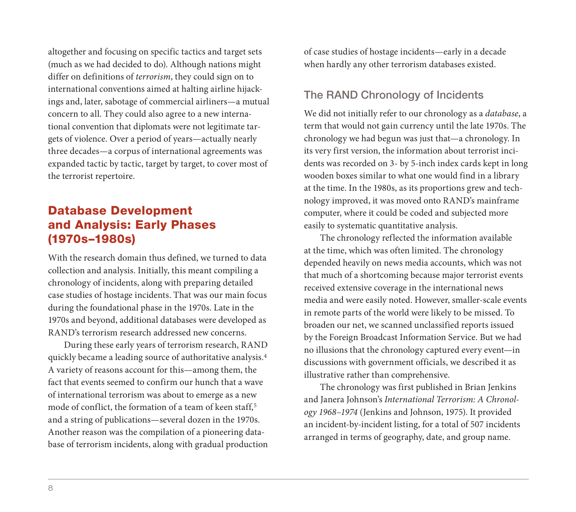altogether and focusing on specific tactics and target sets (much as we had decided to do). Although nations might differ on definitions of terrorism, they could sign on to international conventions aimed at halting airline hijackings and, later, sabotage of commercial airliners—a mutual concern to all. They could also agree to a new international convention that diplomats were not legitimate targets of violence. Over a period of years—actually nearly three decades—a corpus of international agreements was expanded tactic by tactic, target by target, to cover most of the terrorist repertoire.

# Database Development and Analysis: Early Phases (1970s–1980s)

With the research domain thus defined, we turned to data collection and analysis. Initially, this meant compiling a chronology of incidents, along with preparing detailed case studies of hostage incidents. That was our main focus during the foundational phase in the 1970s. Late in the 1970s and beyond, additional databases were developed as RAND's terrorism research addressed new concerns.

During these early years of terrorism research, RAND quickly became a leading source of authoritative analysis.4 A variety of reasons account for this—among them, the fact that events seemed to confirm our hunch that a wave of international terrorism was about to emerge as a new mode of conflict, the formation of a team of keen staff,<sup>5</sup> and a string of publications—several dozen in the 1970s. Another reason was the compilation of a pioneering database of terrorism incidents, along with gradual production of case studies of hostage incidents—early in a decade when hardly any other terrorism databases existed.

#### The RAND Chronology of Incidents

We did not initially refer to our chronology as a database, a term that would not gain currency until the late 1970s. The chronology we had begun was just that—a chronology. In its very first version, the information about terrorist incidents was recorded on 3- by 5-inch index cards kept in long wooden boxes similar to what one would find in a library at the time. In the 1980s, as its proportions grew and technology improved, it was moved onto RAND's mainframe computer, where it could be coded and subjected more easily to systematic quantitative analysis.

The chronology reflected the information available at the time, which was often limited. The chronology depended heavily on news media accounts, which was not that much of a shortcoming because major terrorist events received extensive coverage in the international news media and were easily noted. However, smaller-scale events in remote parts of the world were likely to be missed. To broaden our net, we scanned unclassified reports issued by the Foreign Broadcast Information Service. But we had no illusions that the chronology captured every event—in discussions with government officials, we described it as illustrative rather than comprehensive.

The chronology was first published in Brian Jenkins and Janera Johnson's International Terrorism: A Chronology 1968–1974 (Jenkins and Johnson, 1975). It provided an incident-by-incident listing, for a total of 507 incidents arranged in terms of geography, date, and group name.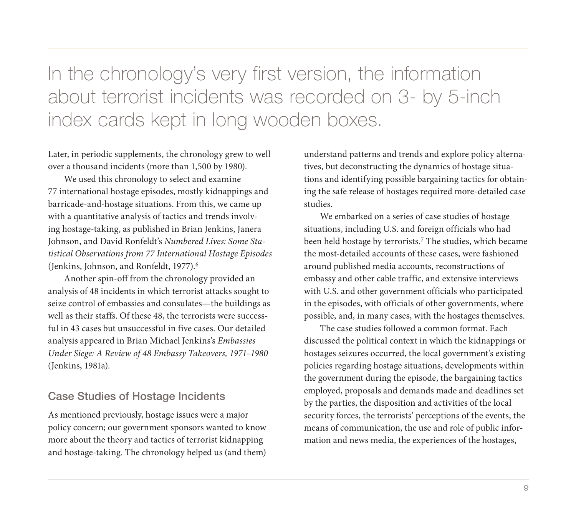In the chronology's very first version, the information about terrorist incidents was recorded on 3- by 5-inch index cards kept in long wooden boxes.

Later, in periodic supplements, the chronology grew to well over a thousand incidents (more than 1,500 by 1980).

We used this chronology to select and examine 77 international hostage episodes, mostly kidnappings and barricade-and-hostage situations. From this, we came up with a quantitative analysis of tactics and trends involving hostage-taking, as published in Brian Jenkins, Janera Johnson, and David Ronfeldt's Numbered Lives: Some Statistical Observations from 77 International Hostage Episodes (Jenkins, Johnson, and Ronfeldt, 1977).6

Another spin-off from the chronology provided an analysis of 48 incidents in which terrorist attacks sought to seize control of embassies and consulates—the buildings as well as their staffs. Of these 48, the terrorists were successful in 43 cases but unsuccessful in five cases. Our detailed analysis appeared in Brian Michael Jenkins's Embassies Under Siege: A Review of 48 Embassy Takeovers, 1971–1980 (Jenkins, 1981a).

#### Case Studies of Hostage Incidents

As mentioned previously, hostage issues were a major policy concern; our government sponsors wanted to know more about the theory and tactics of terrorist kidnapping and hostage-taking. The chronology helped us (and them) understand patterns and trends and explore policy alternatives, but deconstructing the dynamics of hostage situations and identifying possible bargaining tactics for obtaining the safe release of hostages required more-detailed case studies.

We embarked on a series of case studies of hostage situations, including U.S. and foreign officials who had been held hostage by terrorists.<sup>7</sup> The studies, which became the most-detailed accounts of these cases, were fashioned around published media accounts, reconstructions of embassy and other cable traffic, and extensive interviews with U.S. and other government officials who participated in the episodes, with officials of other governments, where possible, and, in many cases, with the hostages themselves.

The case studies followed a common format. Each discussed the political context in which the kidnappings or hostages seizures occurred, the local government's existing policies regarding hostage situations, developments within the government during the episode, the bargaining tactics employed, proposals and demands made and deadlines set by the parties, the disposition and activities of the local security forces, the terrorists' perceptions of the events, the means of communication, the use and role of public information and news media, the experiences of the hostages,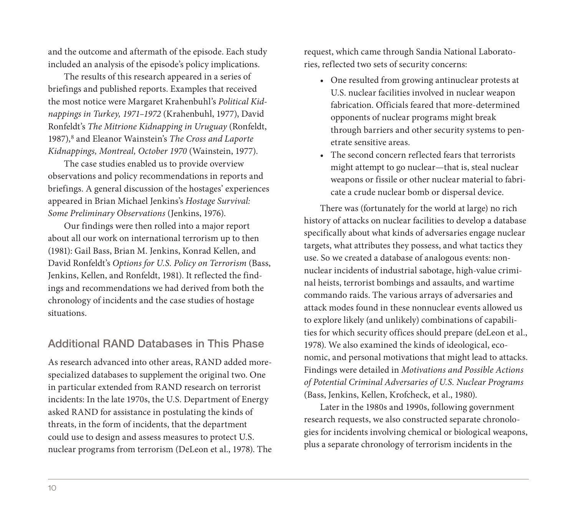and the outcome and aftermath of the episode. Each study included an analysis of the episode's policy implications.

The results of this research appeared in a series of briefings and published reports. Examples that received the most notice were Margaret Krahenbuhl's Political Kidnappings in Turkey, 1971–1972 (Krahenbuhl, 1977), David Ronfeldt's The Mitrione Kidnapping in Uruguay (Ronfeldt, 1987),<sup>8</sup> and Eleanor Wainstein's The Cross and Laporte Kidnappings, Montreal, October 1970 (Wainstein, 1977).

The case studies enabled us to provide overview observations and policy recommendations in reports and briefings. A general discussion of the hostages' experiences appeared in Brian Michael Jenkins's Hostage Survival: Some Preliminary Observations (Jenkins, 1976).

Our findings were then rolled into a major report about all our work on international terrorism up to then (1981): Gail Bass, Brian M. Jenkins, Konrad Kellen, and David Ronfeldt's Options for U.S. Policy on Terrorism (Bass, Jenkins, Kellen, and Ronfeldt, 1981). It reflected the findings and recommendations we had derived from both the chronology of incidents and the case studies of hostage situations.

#### Additional RAND Databases in This Phase

As research advanced into other areas, RAND added morespecialized databases to supplement the original two. One in particular extended from RAND research on terrorist incidents: In the late 1970s, the U.S. Department of Energy asked RAND for assistance in postulating the kinds of threats, in the form of incidents, that the department could use to design and assess measures to protect U.S. nuclear programs from terrorism (DeLeon et al., 1978). The request, which came through Sandia National Laboratories, reflected two sets of security concerns:

- One resulted from growing antinuclear protests at U.S. nuclear facilities involved in nuclear weapon fabrication. Officials feared that more-determined opponents of nuclear programs might break through barriers and other security systems to penetrate sensitive areas.
- The second concern reflected fears that terrorists might attempt to go nuclear—that is, steal nuclear weapons or fissile or other nuclear material to fabricate a crude nuclear bomb or dispersal device.

There was (fortunately for the world at large) no rich history of attacks on nuclear facilities to develop a database specifically about what kinds of adversaries engage nuclear targets, what attributes they possess, and what tactics they use. So we created a database of analogous events: nonnuclear incidents of industrial sabotage, high-value criminal heists, terrorist bombings and assaults, and wartime commando raids. The various arrays of adversaries and attack modes found in these nonnuclear events allowed us to explore likely (and unlikely) combinations of capabilities for which security offices should prepare (deLeon et al., 1978). We also examined the kinds of ideological, economic, and personal motivations that might lead to attacks. Findings were detailed in Motivations and Possible Actions of Potential Criminal Adversaries of U.S. Nuclear Programs (Bass, Jenkins, Kellen, Krofcheck, et al., 1980).

Later in the 1980s and 1990s, following government research requests, we also constructed separate chronologies for incidents involving chemical or biological weapons, plus a separate chronology of terrorism incidents in the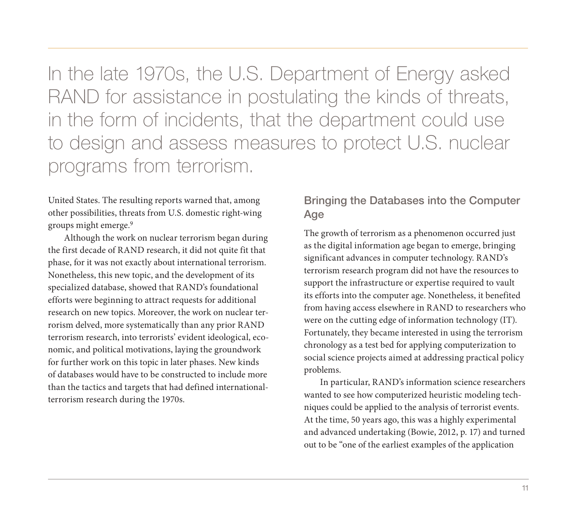In the late 1970s, the U.S. Department of Energy asked RAND for assistance in postulating the kinds of threats, in the form of incidents, that the department could use to design and assess measures to protect U.S. nuclear programs from terrorism.

United States. The resulting reports warned that, among other possibilities, threats from U.S. domestic right-wing groups might emerge.9

Although the work on nuclear terrorism began during the first decade of RAND research, it did not quite fit that phase, for it was not exactly about international terrorism. Nonetheless, this new topic, and the development of its specialized database, showed that RAND's foundational efforts were beginning to attract requests for additional research on new topics. Moreover, the work on nuclear terrorism delved, more systematically than any prior RAND terrorism research, into terrorists' evident ideological, economic, and political motivations, laying the groundwork for further work on this topic in later phases. New kinds of databases would have to be constructed to include more than the tactics and targets that had defined internationalterrorism research during the 1970s.

#### Bringing the Databases into the Computer Age

The growth of terrorism as a phenomenon occurred just as the digital information age began to emerge, bringing significant advances in computer technology. RAND's terrorism research program did not have the resources to support the infrastructure or expertise required to vault its efforts into the computer age. Nonetheless, it benefited from having access elsewhere in RAND to researchers who were on the cutting edge of information technology (IT). Fortunately, they became interested in using the terrorism chronology as a test bed for applying computerization to social science projects aimed at addressing practical policy problems.

In particular, RAND's information science researchers wanted to see how computerized heuristic modeling techniques could be applied to the analysis of terrorist events. At the time, 50 years ago, this was a highly experimental and advanced undertaking (Bowie, 2012, p. 17) and turned out to be "one of the earliest examples of the application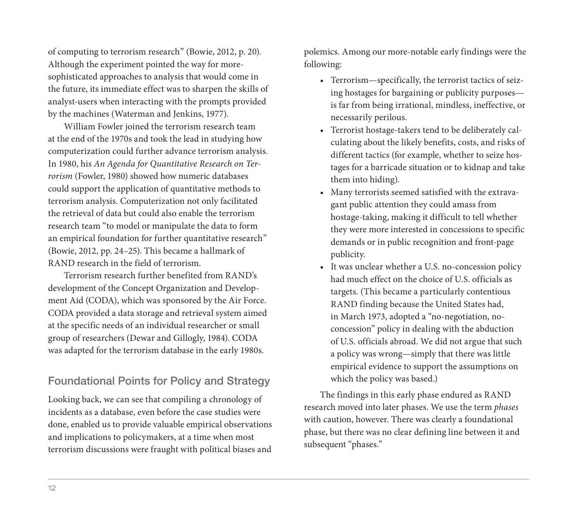of computing to terrorism research" (Bowie, 2012, p. 20). Although the experiment pointed the way for moresophisticated approaches to analysis that would come in the future, its immediate effect was to sharpen the skills of analyst-users when interacting with the prompts provided by the machines (Waterman and Jenkins, 1977).

William Fowler joined the terrorism research team at the end of the 1970s and took the lead in studying how computerization could further advance terrorism analysis. In 1980, his An Agenda for Quantitative Research on Terrorism (Fowler, 1980) showed how numeric databases could support the application of quantitative methods to terrorism analysis. Computerization not only facilitated the retrieval of data but could also enable the terrorism research team "to model or manipulate the data to form an empirical foundation for further quantitative research" (Bowie, 2012, pp. 24–25). This became a hallmark of RAND research in the field of terrorism.

Terrorism research further benefited from RAND's development of the Concept Organization and Development Aid (CODA), which was sponsored by the Air Force. CODA provided a data storage and retrieval system aimed at the specific needs of an individual researcher or small group of researchers (Dewar and Gillogly, 1984). CODA was adapted for the terrorism database in the early 1980s.

#### Foundational Points for Policy and Strategy

Looking back, we can see that compiling a chronology of incidents as a database, even before the case studies were done, enabled us to provide valuable empirical observations and implications to policymakers, at a time when most terrorism discussions were fraught with political biases and

polemics. Among our more-notable early findings were the following:

- Terrorism—specifically, the terrorist tactics of seizing hostages for bargaining or publicity purposes is far from being irrational, mindless, ineffective, or necessarily perilous.
- Terrorist hostage-takers tend to be deliberately calculating about the likely benefits, costs, and risks of different tactics (for example, whether to seize hostages for a barricade situation or to kidnap and take them into hiding).
- Many terrorists seemed satisfied with the extravagant public attention they could amass from hostage-taking, making it difficult to tell whether they were more interested in concessions to specific demands or in public recognition and front-page publicity.
- It was unclear whether a U.S. no-concession policy had much effect on the choice of U.S. officials as targets. (This became a particularly contentious RAND finding because the United States had, in March 1973, adopted a "no-negotiation, noconcession" policy in dealing with the abduction of U.S. officials abroad. We did not argue that such a policy was wrong—simply that there was little empirical evidence to support the assumptions on which the policy was based.)

The findings in this early phase endured as RAND research moved into later phases. We use the term phases with caution, however. There was clearly a foundational phase, but there was no clear defining line between it and subsequent "phases."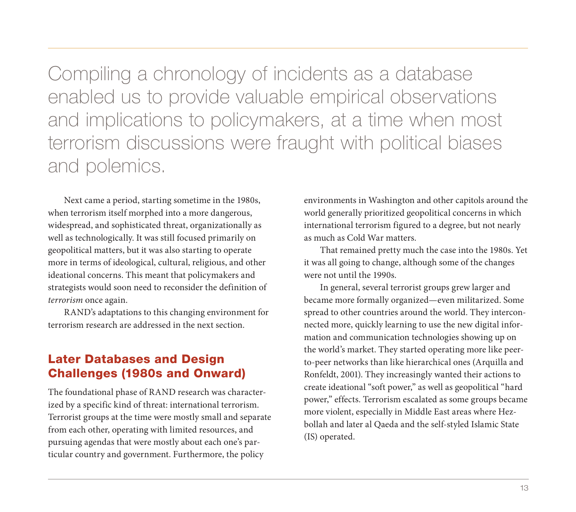Compiling a chronology of incidents as a database enabled us to provide valuable empirical observations and implications to policymakers, at a time when most terrorism discussions were fraught with political biases and polemics.

Next came a period, starting sometime in the 1980s, when terrorism itself morphed into a more dangerous, widespread, and sophisticated threat, organizationally as well as technologically. It was still focused primarily on geopolitical matters, but it was also starting to operate more in terms of ideological, cultural, religious, and other ideational concerns. This meant that policymakers and strategists would soon need to reconsider the definition of terrorism once again.

RAND's adaptations to this changing environment for terrorism research are addressed in the next section.

## Later Databases and Design Challenges (1980s and Onward)

The foundational phase of RAND research was characterized by a specific kind of threat: international terrorism. Terrorist groups at the time were mostly small and separate from each other, operating with limited resources, and pursuing agendas that were mostly about each one's particular country and government. Furthermore, the policy

environments in Washington and other capitols around the world generally prioritized geopolitical concerns in which international terrorism figured to a degree, but not nearly as much as Cold War matters.

That remained pretty much the case into the 1980s. Yet it was all going to change, although some of the changes were not until the 1990s.

In general, several terrorist groups grew larger and became more formally organized—even militarized. Some spread to other countries around the world. They interconnected more, quickly learning to use the new digital information and communication technologies showing up on the world's market. They started operating more like peerto-peer networks than like hierarchical ones (Arquilla and Ronfeldt, 2001). They increasingly wanted their actions to create ideational "soft power," as well as geopolitical "hard power," effects. Terrorism escalated as some groups became more violent, especially in Middle East areas where Hezbollah and later al Qaeda and the self-styled Islamic State (IS) operated.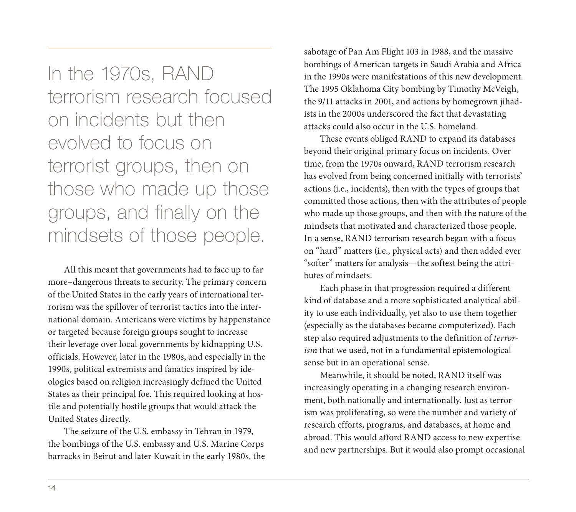In the 1970s, RAND terrorism research focused on incidents but then evolved to focus on terrorist groups, then on those who made up those groups, and finally on the mindsets of those people.

All this meant that governments had to face up to far more–dangerous threats to security. The primary concern of the United States in the early years of international terrorism was the spillover of terrorist tactics into the international domain. Americans were victims by happenstance or targeted because foreign groups sought to increase their leverage over local governments by kidnapping U.S. officials. However, later in the 1980s, and especially in the 1990s, political extremists and fanatics inspired by ideologies based on religion increasingly defined the United States as their principal foe. This required looking at hostile and potentially hostile groups that would attack the United States directly.

The seizure of the U.S. embassy in Tehran in 1979, the bombings of the U.S. embassy and U.S. Marine Corps barracks in Beirut and later Kuwait in the early 1980s, the

sabotage of Pan Am Flight 103 in 1988, and the massive bombings of American targets in Saudi Arabia and Africa in the 1990s were manifestations of this new development. The 1995 Oklahoma City bombing by Timothy McVeigh, the 9/11 attacks in 2001, and actions by homegrown jihadists in the 2000s underscored the fact that devastating attacks could also occur in the U.S. homeland.

These events obliged RAND to expand its databases beyond their original primary focus on incidents. Over time, from the 1970s onward, RAND terrorism research has evolved from being concerned initially with terrorists' actions (i.e., incidents), then with the types of groups that committed those actions, then with the attributes of people who made up those groups, and then with the nature of the mindsets that motivated and characterized those people. In a sense, RAND terrorism research began with a focus on "hard" matters (i.e., physical acts) and then added ever "softer" matters for analysis—the softest being the attributes of mindsets.

Each phase in that progression required a different kind of database and a more sophisticated analytical ability to use each individually, yet also to use them together (especially as the databases became computerized). Each step also required adjustments to the definition of terrorism that we used, not in a fundamental epistemological sense but in an operational sense.

Meanwhile, it should be noted, RAND itself was increasingly operating in a changing research environment, both nationally and internationally. Just as terrorism was proliferating, so were the number and variety of research efforts, programs, and databases, at home and abroad. This would afford RAND access to new expertise and new partnerships. But it would also prompt occasional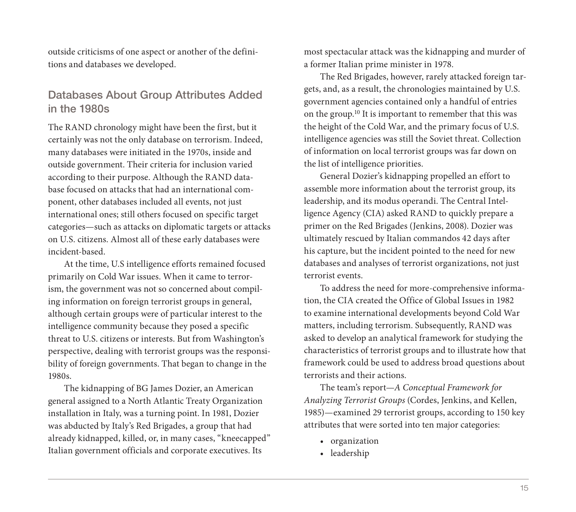outside criticisms of one aspect or another of the definitions and databases we developed.

#### Databases About Group Attributes Added in the 1980s

The RAND chronology might have been the first, but it certainly was not the only database on terrorism. Indeed, many databases were initiated in the 1970s, inside and outside government. Their criteria for inclusion varied according to their purpose. Although the RAND database focused on attacks that had an international component, other databases included all events, not just international ones; still others focused on specific target categories—such as attacks on diplomatic targets or attacks on U.S. citizens. Almost all of these early databases were incident-based.

At the time, U.S intelligence efforts remained focused primarily on Cold War issues. When it came to terrorism, the government was not so concerned about compiling information on foreign terrorist groups in general, although certain groups were of particular interest to the intelligence community because they posed a specific threat to U.S. citizens or interests. But from Washington's perspective, dealing with terrorist groups was the responsibility of foreign governments. That began to change in the 1980s.

The kidnapping of BG James Dozier, an American general assigned to a North Atlantic Treaty Organization installation in Italy, was a turning point. In 1981, Dozier was abducted by Italy's Red Brigades, a group that had already kidnapped, killed, or, in many cases, "kneecapped" Italian government officials and corporate executives. Its

most spectacular attack was the kidnapping and murder of a former Italian prime minister in 1978.

The Red Brigades, however, rarely attacked foreign targets, and, as a result, the chronologies maintained by U.S. government agencies contained only a handful of entries on the group.10 It is important to remember that this was the height of the Cold War, and the primary focus of U.S. intelligence agencies was still the Soviet threat. Collection of information on local terrorist groups was far down on the list of intelligence priorities.

General Dozier's kidnapping propelled an effort to assemble more information about the terrorist group, its leadership, and its modus operandi. The Central Intelligence Agency (CIA) asked RAND to quickly prepare a primer on the Red Brigades (Jenkins, 2008). Dozier was ultimately rescued by Italian commandos 42 days after his capture, but the incident pointed to the need for new databases and analyses of terrorist organizations, not just terrorist events.

To address the need for more-comprehensive information, the CIA created the Office of Global Issues in 1982 to examine international developments beyond Cold War matters, including terrorism. Subsequently, RAND was asked to develop an analytical framework for studying the characteristics of terrorist groups and to illustrate how that framework could be used to address broad questions about terrorists and their actions.

The team's report—A Conceptual Framework for Analyzing Terrorist Groups (Cordes, Jenkins, and Kellen, 1985)—examined 29 terrorist groups, according to 150 key attributes that were sorted into ten major categories:

- organization
- leadership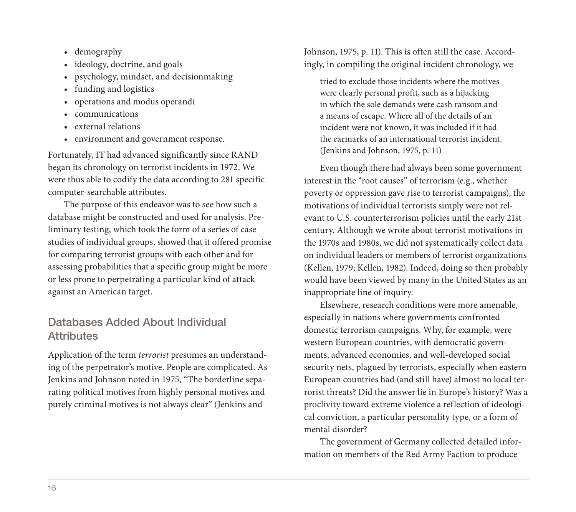- demography
- ideology, doctrine, and goals
- psychology, mindset, and decisionmaking
- funding and logistics
- operations and modus operandi
- communications
- external relations
- environment and government response.

Fortunately, IT had advanced significantly since RAND began its chronology on terrorist incidents in 1972. We were thus able to codify the data according to 281 specific computer-searchable attributes.

The purpose of this endeavor was to see how such a database might be constructed and used for analysis. Preliminary testing, which took the form of a series of case studies of individual groups, showed that it offered promise for comparing terrorist groups with each other and for assessing probabilities that a specific group might be more or less prone to perpetrating a particular kind of attack against an American target.

#### Databases Added About Individual **Attributes**

Application of the term terrorist presumes an understanding of the perpetrator's motive. People are complicated. As Jenkins and Johnson noted in 1975, "The borderline separating political motives from highly personal motives and purely criminal motives is not always clear" (Jenkins and

Johnson, 1975, p. 11). This is often still the case. Accordingly, in compiling the original incident chronology, we

tried to exclude those incidents where the motives were clearly personal profit, such as a hijacking in which the sole demands were cash ransom and a means of escape. Where all of the details of an incident were not known, it was included if it had the earmarks of an international terrorist incident. (Jenkins and Johnson, 1975, p. 11)

Even though there had always been some government interest in the "root causes" of terrorism (e.g., whether poverty or oppression gave rise to terrorist campaigns), the motivations of individual terrorists simply were not relevant to U.S. counterterrorism policies until the early 21st century. Although we wrote about terrorist motivations in the 1970s and 1980s, we did not systematically collect data on individual leaders or members of terrorist organizations (Kellen, 1979; Kellen, 1982). Indeed, doing so then probably would have been viewed by many in the United States as an inappropriate line of inquiry.

Elsewhere, research conditions were more amenable, especially in nations where governments confronted domestic terrorism campaigns. Why, for example, were western European countries, with democratic governments, advanced economies, and well-developed social security nets, plagued by terrorists, especially when eastern European countries had (and still have) almost no local terrorist threats? Did the answer lie in Europe's history? Was a proclivity toward extreme violence a reflection of ideological conviction, a particular personality type, or a form of mental disorder?

The government of Germany collected detailed information on members of the Red Army Faction to produce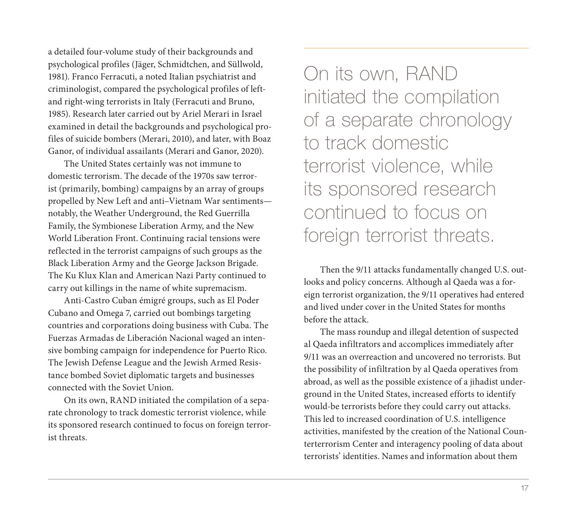a detailed four-volume study of their backgrounds and psychological profiles (Jäger, Schmidtchen, and Süllwold, 1981). Franco Ferracuti, a noted Italian psychiatrist and criminologist, compared the psychological profiles of leftand right-wing terrorists in Italy (Ferracuti and Bruno, 1985). Research later carried out by Ariel Merari in Israel examined in detail the backgrounds and psychological profiles of suicide bombers (Merari, 2010), and later, with Boaz Ganor, of individual assailants (Merari and Ganor, 2020).

The United States certainly was not immune to domestic terrorism. The decade of the 1970s saw terrorist (primarily, bombing) campaigns by an array of groups propelled by New Left and anti–Vietnam War sentiments notably, the Weather Underground, the Red Guerrilla Family, the Symbionese Liberation Army, and the New World Liberation Front. Continuing racial tensions were reflected in the terrorist campaigns of such groups as the Black Liberation Army and the George Jackson Brigade. The Ku Klux Klan and American Nazi Party continued to carry out killings in the name of white supremacism.

Anti-Castro Cuban émigré groups, such as El Poder Cubano and Omega 7, carried out bombings targeting countries and corporations doing business with Cuba. The Fuerzas Armadas de Liberación Nacional waged an intensive bombing campaign for independence for Puerto Rico. The Jewish Defense League and the Jewish Armed Resistance bombed Soviet diplomatic targets and businesses connected with the Soviet Union.

On its own, RAND initiated the compilation of a separate chronology to track domestic terrorist violence, while its sponsored research continued to focus on foreign terrorist threats.

On its own, RAND initiated the compilation of a separate chronology to track domestic terrorist violence, while its sponsored research continued to focus on foreign terrorist threats.

Then the 9/11 attacks fundamentally changed U.S. outlooks and policy concerns. Although al Qaeda was a foreign terrorist organization, the 9/11 operatives had entered and lived under cover in the United States for months before the attack.

The mass roundup and illegal detention of suspected al Qaeda infiltrators and accomplices immediately after 9/11 was an overreaction and uncovered no terrorists. But the possibility of infiltration by al Qaeda operatives from abroad, as well as the possible existence of a jihadist underground in the United States, increased efforts to identify would-be terrorists before they could carry out attacks. This led to increased coordination of U.S. intelligence activities, manifested by the creation of the National Counterterrorism Center and interagency pooling of data about terrorists' identities. Names and information about them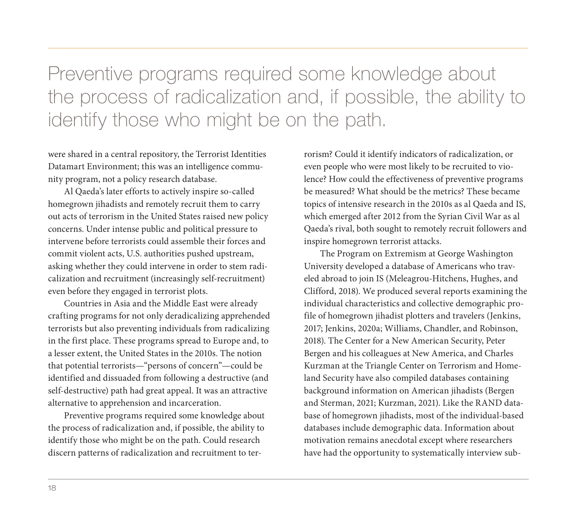Preventive programs required some knowledge about the process of radicalization and, if possible, the ability to identify those who might be on the path.

were shared in a central repository, the Terrorist Identities Datamart Environment; this was an intelligence community program, not a policy research database.

Al Qaeda's later efforts to actively inspire so-called homegrown jihadists and remotely recruit them to carry out acts of terrorism in the United States raised new policy concerns. Under intense public and political pressure to intervene before terrorists could assemble their forces and commit violent acts, U.S. authorities pushed upstream, asking whether they could intervene in order to stem radicalization and recruitment (increasingly self-recruitment) even before they engaged in terrorist plots.

Countries in Asia and the Middle East were already crafting programs for not only deradicalizing apprehended terrorists but also preventing individuals from radicalizing in the first place. These programs spread to Europe and, to a lesser extent, the United States in the 2010s. The notion that potential terrorists—"persons of concern"—could be identified and dissuaded from following a destructive (and self-destructive) path had great appeal. It was an attractive alternative to apprehension and incarceration.

Preventive programs required some knowledge about the process of radicalization and, if possible, the ability to identify those who might be on the path. Could research discern patterns of radicalization and recruitment to ter-

rorism? Could it identify indicators of radicalization, or even people who were most likely to be recruited to violence? How could the effectiveness of preventive programs be measured? What should be the metrics? These became topics of intensive research in the 2010s as al Qaeda and IS, which emerged after 2012 from the Syrian Civil War as al Qaeda's rival, both sought to remotely recruit followers and inspire homegrown terrorist attacks.

The Program on Extremism at George Washington University developed a database of Americans who traveled abroad to join IS (Meleagrou-Hitchens, Hughes, and Clifford, 2018). We produced several reports examining the individual characteristics and collective demographic profile of homegrown jihadist plotters and travelers (Jenkins, 2017; Jenkins, 2020a; Williams, Chandler, and Robinson, 2018). The Center for a New American Security, Peter Bergen and his colleagues at New America, and Charles Kurzman at the Triangle Center on Terrorism and Homeland Security have also compiled databases containing background information on American jihadists (Bergen and Sterman, 2021; Kurzman, 2021). Like the RAND database of homegrown jihadists, most of the individual-based databases include demographic data. Information about motivation remains anecdotal except where researchers have had the opportunity to systematically interview sub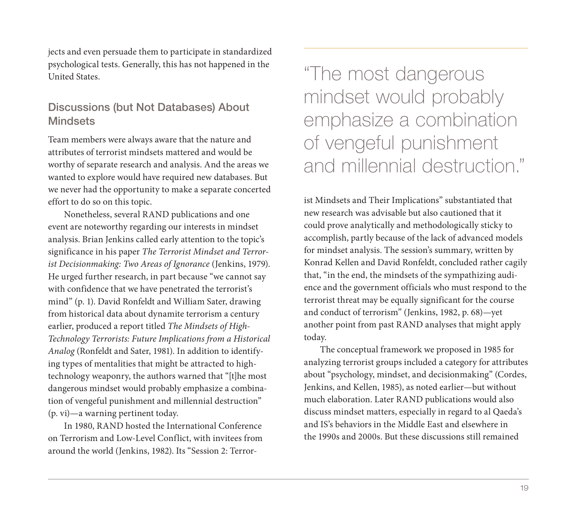jects and even persuade them to participate in standardized psychological tests. Generally, this has not happened in the United States.

#### Discussions (but Not Databases) About **Mindsets**

Team members were always aware that the nature and attributes of terrorist mindsets mattered and would be worthy of separate research and analysis. And the areas we wanted to explore would have required new databases. But we never had the opportunity to make a separate concerted effort to do so on this topic.

Nonetheless, several RAND publications and one event are noteworthy regarding our interests in mindset analysis. Brian Jenkins called early attention to the topic's significance in his paper The Terrorist Mindset and Terrorist Decisionmaking: Two Areas of Ignorance (Jenkins, 1979). He urged further research, in part because "we cannot say with confidence that we have penetrated the terrorist's mind" (p. 1). David Ronfeldt and William Sater, drawing from historical data about dynamite terrorism a century earlier, produced a report titled The Mindsets of High-Technology Terrorists: Future Implications from a Historical Analog (Ronfeldt and Sater, 1981). In addition to identifying types of mentalities that might be attracted to hightechnology weaponry, the authors warned that "[t]he most dangerous mindset would probably emphasize a combination of vengeful punishment and millennial destruction" (p. vi)—a warning pertinent today.

In 1980, RAND hosted the International Conference on Terrorism and Low-Level Conflict, with invitees from around the world (Jenkins, 1982). Its "Session 2: Terror-

"The most dangerous mindset would probably emphasize a combination of vengeful punishment and millennial destruction."

ist Mindsets and Their Implications" substantiated that new research was advisable but also cautioned that it could prove analytically and methodologically sticky to accomplish, partly because of the lack of advanced models for mindset analysis. The session's summary, written by Konrad Kellen and David Ronfeldt, concluded rather cagily that, "in the end, the mindsets of the sympathizing audience and the government officials who must respond to the terrorist threat may be equally significant for the course and conduct of terrorism" (Jenkins, 1982, p. 68)—yet another point from past RAND analyses that might apply today.

The conceptual framework we proposed in 1985 for analyzing terrorist groups included a category for attributes about "psychology, mindset, and decisionmaking" (Cordes, Jenkins, and Kellen, 1985), as noted earlier—but without much elaboration. Later RAND publications would also discuss mindset matters, especially in regard to al Qaeda's and IS's behaviors in the Middle East and elsewhere in the 1990s and 2000s. But these discussions still remained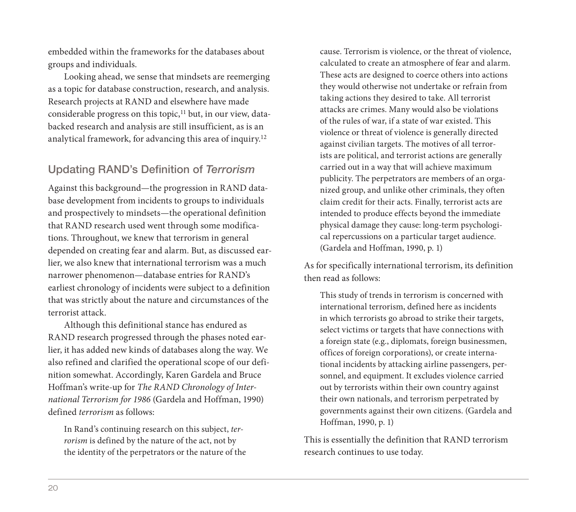embedded within the frameworks for the databases about groups and individuals.

Looking ahead, we sense that mindsets are reemerging as a topic for database construction, research, and analysis. Research projects at RAND and elsewhere have made considerable progress on this topic,<sup>11</sup> but, in our view, databacked research and analysis are still insufficient, as is an analytical framework, for advancing this area of inquiry.12

#### Updating RAND's Definition of Terrorism

Against this background—the progression in RAND database development from incidents to groups to individuals and prospectively to mindsets—the operational definition that RAND research used went through some modifications. Throughout, we knew that terrorism in general depended on creating fear and alarm. But, as discussed earlier, we also knew that international terrorism was a much narrower phenomenon—database entries for RAND's earliest chronology of incidents were subject to a definition that was strictly about the nature and circumstances of the terrorist attack.

Although this definitional stance has endured as RAND research progressed through the phases noted earlier, it has added new kinds of databases along the way. We also refined and clarified the operational scope of our definition somewhat. Accordingly, Karen Gardela and Bruce Hoffman's write-up for The RAND Chronology of International Terrorism for 1986 (Gardela and Hoffman, 1990) defined terrorism as follows:

In Rand's continuing research on this subject, terrorism is defined by the nature of the act, not by the identity of the perpetrators or the nature of the

cause. Terrorism is violence, or the threat of violence, calculated to create an atmosphere of fear and alarm. These acts are designed to coerce others into actions they would otherwise not undertake or refrain from taking actions they desired to take. All terrorist attacks are crimes. Many would also be violations of the rules of war, if a state of war existed. This violence or threat of violence is generally directed against civilian targets. The motives of all terrorists are political, and terrorist actions are generally carried out in a way that will achieve maximum publicity. The perpetrators are members of an organized group, and unlike other criminals, they often claim credit for their acts. Finally, terrorist acts are intended to produce effects beyond the immediate physical damage they cause: long-term psychological repercussions on a particular target audience. (Gardela and Hoffman, 1990, p. 1)

As for specifically international terrorism, its definition then read as follows:

This study of trends in terrorism is concerned with international terrorism, defined here as incidents in which terrorists go abroad to strike their targets, select victims or targets that have connections with a foreign state (e.g., diplomats, foreign businessmen, offices of foreign corporations), or create international incidents by attacking airline passengers, personnel, and equipment. It excludes violence carried out by terrorists within their own country against their own nationals, and terrorism perpetrated by governments against their own citizens. (Gardela and Hoffman, 1990, p. 1)

This is essentially the definition that RAND terrorism research continues to use today.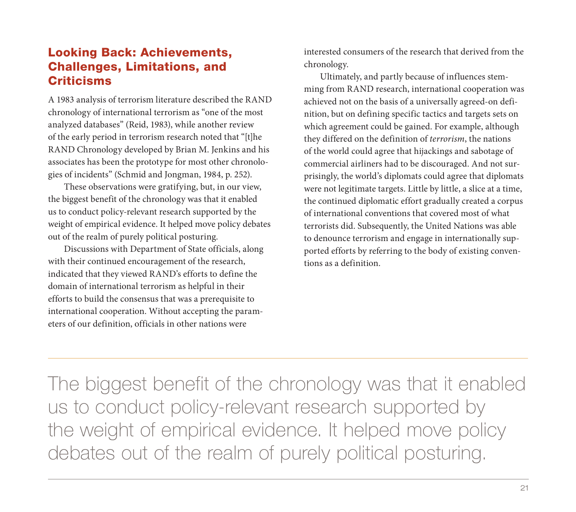# Looking Back: Achievements, Challenges, Limitations, and **Criticisms**

A 1983 analysis of terrorism literature described the RAND chronology of international terrorism as "one of the most analyzed databases" (Reid, 1983), while another review of the early period in terrorism research noted that "[t]he RAND Chronology developed by Brian M. Jenkins and his associates has been the prototype for most other chronologies of incidents" (Schmid and Jongman, 1984, p. 252).

These observations were gratifying, but, in our view, the biggest benefit of the chronology was that it enabled us to conduct policy-relevant research supported by the weight of empirical evidence. It helped move policy debates out of the realm of purely political posturing.

Discussions with Department of State officials, along with their continued encouragement of the research, indicated that they viewed RAND's efforts to define the domain of international terrorism as helpful in their efforts to build the consensus that was a prerequisite to international cooperation. Without accepting the parameters of our definition, officials in other nations were

interested consumers of the research that derived from the chronology.

Ultimately, and partly because of influences stemming from RAND research, international cooperation was achieved not on the basis of a universally agreed-on definition, but on defining specific tactics and targets sets on which agreement could be gained. For example, although they differed on the definition of terrorism, the nations of the world could agree that hijackings and sabotage of commercial airliners had to be discouraged. And not surprisingly, the world's diplomats could agree that diplomats were not legitimate targets. Little by little, a slice at a time, the continued diplomatic effort gradually created a corpus of international conventions that covered most of what terrorists did. Subsequently, the United Nations was able to denounce terrorism and engage in internationally supported efforts by referring to the body of existing conventions as a definition.

The biggest benefit of the chronology was that it enabled us to conduct policy-relevant research supported by the weight of empirical evidence. It helped move policy debates out of the realm of purely political posturing.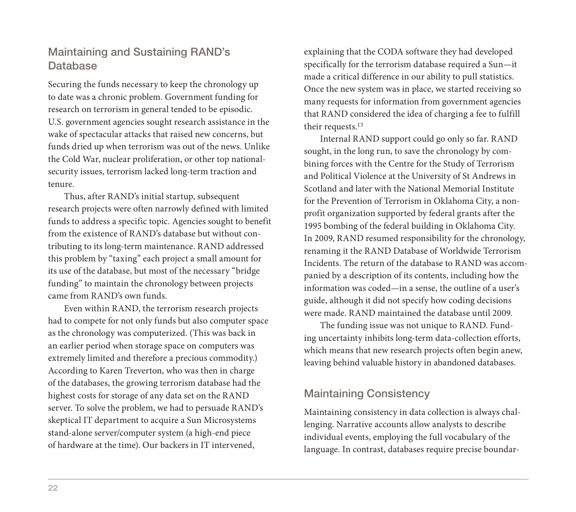### Maintaining and Sustaining RAND's Database

Securing the funds necessary to keep the chronology up to date was a chronic problem. Government funding for research on terrorism in general tended to be episodic. U.S. government agencies sought research assistance in the wake of spectacular attacks that raised new concerns, but funds dried up when terrorism was out of the news. Unlike the Cold War, nuclear proliferation, or other top nationalsecurity issues, terrorism lacked long-term traction and tenure.

Thus, after RAND's initial startup, subsequent research projects were often narrowly defined with limited funds to address a specific topic. Agencies sought to benefit from the existence of RAND's database but without contributing to its long-term maintenance. RAND addressed this problem by "taxing" each project a small amount for its use of the database, but most of the necessary "bridge funding" to maintain the chronology between projects came from RAND's own funds.

Even within RAND, the terrorism research projects had to compete for not only funds but also computer space as the chronology was computerized. (This was back in an earlier period when storage space on computers was extremely limited and therefore a precious commodity.) According to Karen Treverton, who was then in charge of the databases, the growing terrorism database had the highest costs for storage of any data set on the RAND server. To solve the problem, we had to persuade RAND's skeptical IT department to acquire a Sun Microsystems stand-alone server/computer system (a high-end piece of hardware at the time). Our backers in IT intervened,

explaining that the CODA software they had developed specifically for the terrorism database required a Sun—it made a critical difference in our ability to pull statistics. Once the new system was in place, we started receiving so many requests for information from government agencies that RAND considered the idea of charging a fee to fulfill their requests.13

Internal RAND support could go only so far. RAND sought, in the long run, to save the chronology by combining forces with the Centre for the Study of Terrorism and Political Violence at the University of St Andrews in Scotland and later with the National Memorial Institute for the Prevention of Terrorism in Oklahoma City, a nonprofit organization supported by federal grants after the 1995 bombing of the federal building in Oklahoma City. In 2009, RAND resumed responsibility for the chronology, renaming it the RAND Database of Worldwide Terrorism Incidents. The return of the database to RAND was accompanied by a description of its contents, including how the information was coded—in a sense, the outline of a user's guide, although it did not specify how coding decisions were made. RAND maintained the database until 2009.

The funding issue was not unique to RAND. Funding uncertainty inhibits long-term data-collection efforts, which means that new research projects often begin anew, leaving behind valuable history in abandoned databases.

#### Maintaining Consistency

Maintaining consistency in data collection is always challenging. Narrative accounts allow analysts to describe individual events, employing the full vocabulary of the language. In contrast, databases require precise boundar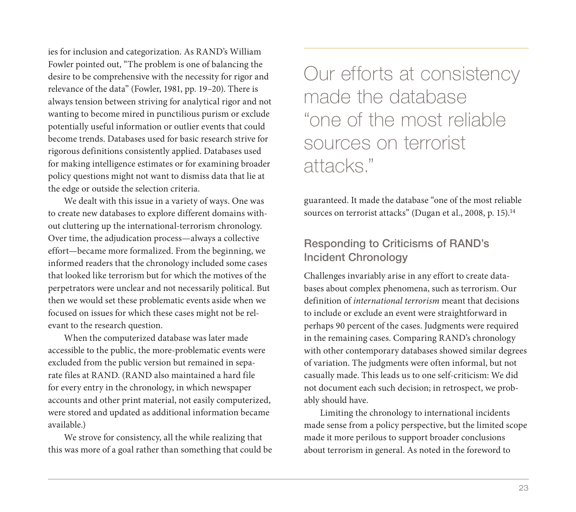ies for inclusion and categorization. As RAND's William Fowler pointed out, "The problem is one of balancing the desire to be comprehensive with the necessity for rigor and relevance of the data" (Fowler, 1981, pp. 19–20). There is always tension between striving for analytical rigor and not wanting to become mired in punctilious purism or exclude potentially useful information or outlier events that could become trends. Databases used for basic research strive for rigorous definitions consistently applied. Databases used for making intelligence estimates or for examining broader policy questions might not want to dismiss data that lie at the edge or outside the selection criteria.

We dealt with this issue in a variety of ways. One was to create new databases to explore different domains without cluttering up the international-terrorism chronology. Over time, the adjudication process—always a collective effort—became more formalized. From the beginning, we informed readers that the chronology included some cases that looked like terrorism but for which the motives of the perpetrators were unclear and not necessarily political. But then we would set these problematic events aside when we focused on issues for which these cases might not be relevant to the research question.

When the computerized database was later made accessible to the public, the more-problematic events were excluded from the public version but remained in separate files at RAND. (RAND also maintained a hard file for every entry in the chronology, in which newspaper accounts and other print material, not easily computerized, were stored and updated as additional information became available.)

We strove for consistency, all the while realizing that this was more of a goal rather than something that could be

Our efforts at consistency made the database "one of the most reliable sources on terrorist attacks."

guaranteed. It made the database "one of the most reliable sources on terrorist attacks" (Dugan et al., 2008, p. 15).<sup>14</sup>

#### Responding to Criticisms of RAND's Incident Chronology

Challenges invariably arise in any effort to create databases about complex phenomena, such as terrorism. Our definition of international terrorism meant that decisions to include or exclude an event were straightforward in perhaps 90 percent of the cases. Judgments were required in the remaining cases. Comparing RAND's chronology with other contemporary databases showed similar degrees of variation. The judgments were often informal, but not casually made. This leads us to one self-criticism: We did not document each such decision; in retrospect, we probably should have.

Limiting the chronology to international incidents made sense from a policy perspective, but the limited scope made it more perilous to support broader conclusions about terrorism in general. As noted in the foreword to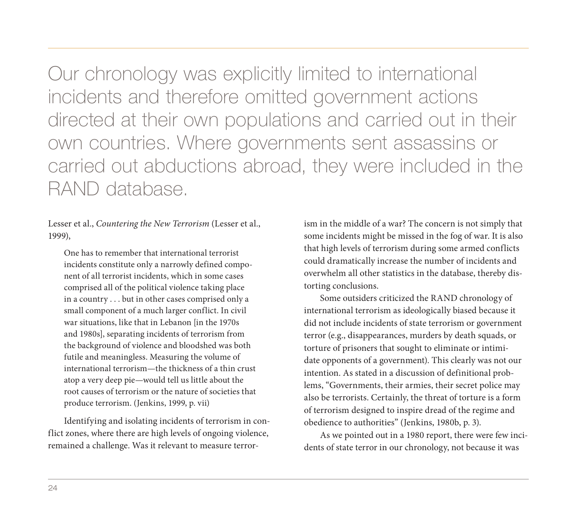Our chronology was explicitly limited to international incidents and therefore omitted government actions directed at their own populations and carried out in their own countries. Where governments sent assassins or carried out abductions abroad, they were included in the RAND database.

Lesser et al., Countering the New Terrorism (Lesser et al., 1999),

One has to remember that international terrorist incidents constitute only a narrowly defined component of all terrorist incidents, which in some cases comprised all of the political violence taking place in a country . . . but in other cases comprised only a small component of a much larger conflict. In civil war situations, like that in Lebanon [in the 1970s and 1980s], separating incidents of terrorism from the background of violence and bloodshed was both futile and meaningless. Measuring the volume of international terrorism—the thickness of a thin crust atop a very deep pie—would tell us little about the root causes of terrorism or the nature of societies that produce terrorism. (Jenkins, 1999, p. vii)

Identifying and isolating incidents of terrorism in conflict zones, where there are high levels of ongoing violence, remained a challenge. Was it relevant to measure terrorism in the middle of a war? The concern is not simply that some incidents might be missed in the fog of war. It is also that high levels of terrorism during some armed conflicts could dramatically increase the number of incidents and overwhelm all other statistics in the database, thereby distorting conclusions.

Some outsiders criticized the RAND chronology of international terrorism as ideologically biased because it did not include incidents of state terrorism or government terror (e.g., disappearances, murders by death squads, or torture of prisoners that sought to eliminate or intimidate opponents of a government). This clearly was not our intention. As stated in a discussion of definitional problems, "Governments, their armies, their secret police may also be terrorists. Certainly, the threat of torture is a form of terrorism designed to inspire dread of the regime and obedience to authorities" (Jenkins, 1980b, p. 3).

As we pointed out in a 1980 report, there were few incidents of state terror in our chronology, not because it was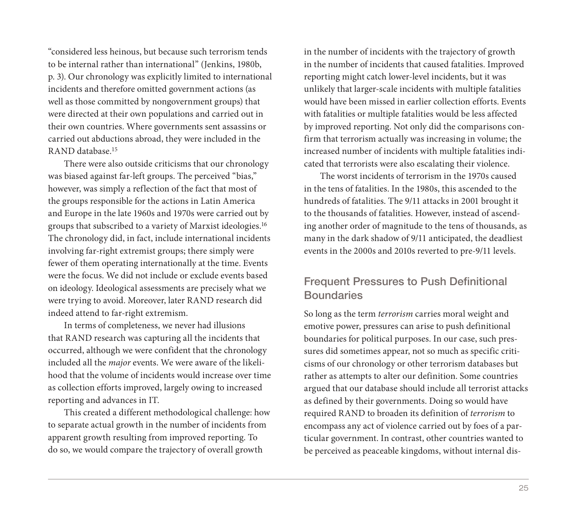"considered less heinous, but because such terrorism tends to be internal rather than international" (Jenkins, 1980b, p. 3). Our chronology was explicitly limited to international incidents and therefore omitted government actions (as well as those committed by nongovernment groups) that were directed at their own populations and carried out in their own countries. Where governments sent assassins or carried out abductions abroad, they were included in the RAND database.15

There were also outside criticisms that our chronology was biased against far-left groups. The perceived "bias," however, was simply a reflection of the fact that most of the groups responsible for the actions in Latin America and Europe in the late 1960s and 1970s were carried out by groups that subscribed to a variety of Marxist ideologies.16 The chronology did, in fact, include international incidents involving far-right extremist groups; there simply were fewer of them operating internationally at the time. Events were the focus. We did not include or exclude events based on ideology. Ideological assessments are precisely what we were trying to avoid. Moreover, later RAND research did indeed attend to far-right extremism.

In terms of completeness, we never had illusions that RAND research was capturing all the incidents that occurred, although we were confident that the chronology included all the major events. We were aware of the likelihood that the volume of incidents would increase over time as collection efforts improved, largely owing to increased reporting and advances in IT.

This created a different methodological challenge: how to separate actual growth in the number of incidents from apparent growth resulting from improved reporting. To do so, we would compare the trajectory of overall growth

in the number of incidents with the trajectory of growth in the number of incidents that caused fatalities. Improved reporting might catch lower-level incidents, but it was unlikely that larger-scale incidents with multiple fatalities would have been missed in earlier collection efforts. Events with fatalities or multiple fatalities would be less affected by improved reporting. Not only did the comparisons confirm that terrorism actually was increasing in volume; the increased number of incidents with multiple fatalities indicated that terrorists were also escalating their violence.

The worst incidents of terrorism in the 1970s caused in the tens of fatalities. In the 1980s, this ascended to the hundreds of fatalities. The 9/11 attacks in 2001 brought it to the thousands of fatalities. However, instead of ascending another order of magnitude to the tens of thousands, as many in the dark shadow of 9/11 anticipated, the deadliest events in the 2000s and 2010s reverted to pre-9/11 levels.

#### Frequent Pressures to Push Definitional **Boundaries**

So long as the term terrorism carries moral weight and emotive power, pressures can arise to push definitional boundaries for political purposes. In our case, such pressures did sometimes appear, not so much as specific criticisms of our chronology or other terrorism databases but rather as attempts to alter our definition. Some countries argued that our database should include all terrorist attacks as defined by their governments. Doing so would have required RAND to broaden its definition of terrorism to encompass any act of violence carried out by foes of a particular government. In contrast, other countries wanted to be perceived as peaceable kingdoms, without internal dis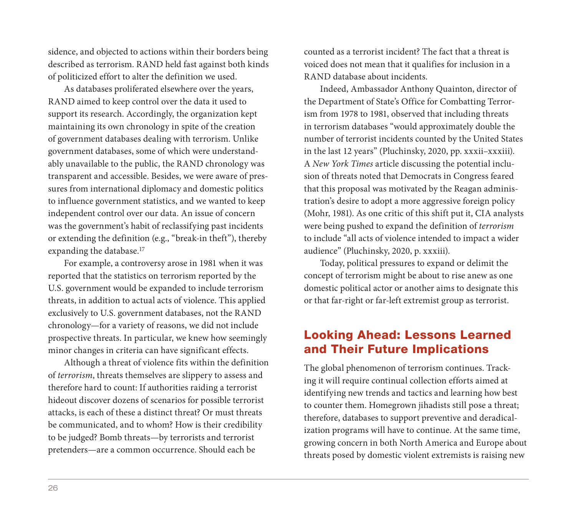sidence, and objected to actions within their borders being described as terrorism. RAND held fast against both kinds of politicized effort to alter the definition we used.

As databases proliferated elsewhere over the years, RAND aimed to keep control over the data it used to support its research. Accordingly, the organization kept maintaining its own chronology in spite of the creation of government databases dealing with terrorism. Unlike government databases, some of which were understandably unavailable to the public, the RAND chronology was transparent and accessible. Besides, we were aware of pressures from international diplomacy and domestic politics to influence government statistics, and we wanted to keep independent control over our data. An issue of concern was the government's habit of reclassifying past incidents or extending the definition (e.g., "break-in theft"), thereby expanding the database.<sup>17</sup>

For example, a controversy arose in 1981 when it was reported that the statistics on terrorism reported by the U.S. government would be expanded to include terrorism threats, in addition to actual acts of violence. This applied exclusively to U.S. government databases, not the RAND chronology—for a variety of reasons, we did not include prospective threats. In particular, we knew how seemingly minor changes in criteria can have significant effects.

Although a threat of violence fits within the definition of terrorism, threats themselves are slippery to assess and therefore hard to count: If authorities raiding a terrorist hideout discover dozens of scenarios for possible terrorist attacks, is each of these a distinct threat? Or must threats be communicated, and to whom? How is their credibility to be judged? Bomb threats—by terrorists and terrorist pretenders—are a common occurrence. Should each be

counted as a terrorist incident? The fact that a threat is voiced does not mean that it qualifies for inclusion in a RAND database about incidents.

Indeed, Ambassador Anthony Quainton, director of the Department of State's Office for Combatting Terrorism from 1978 to 1981, observed that including threats in terrorism databases "would approximately double the number of terrorist incidents counted by the United States in the last 12 years" (Pluchinsky, 2020, pp. xxxii–xxxiii). A New York Times article discussing the potential inclusion of threats noted that Democrats in Congress feared that this proposal was motivated by the Reagan administration's desire to adopt a more aggressive foreign policy (Mohr, 1981). As one critic of this shift put it, CIA analysts were being pushed to expand the definition of terrorism to include "all acts of violence intended to impact a wider audience" (Pluchinsky, 2020, p. xxxiii).

Today, political pressures to expand or delimit the concept of terrorism might be about to rise anew as one domestic political actor or another aims to designate this or that far-right or far-left extremist group as terrorist.

### Looking Ahead: Lessons Learned and Their Future Implications

The global phenomenon of terrorism continues. Tracking it will require continual collection efforts aimed at identifying new trends and tactics and learning how best to counter them. Homegrown jihadists still pose a threat; therefore, databases to support preventive and deradicalization programs will have to continue. At the same time, growing concern in both North America and Europe about threats posed by domestic violent extremists is raising new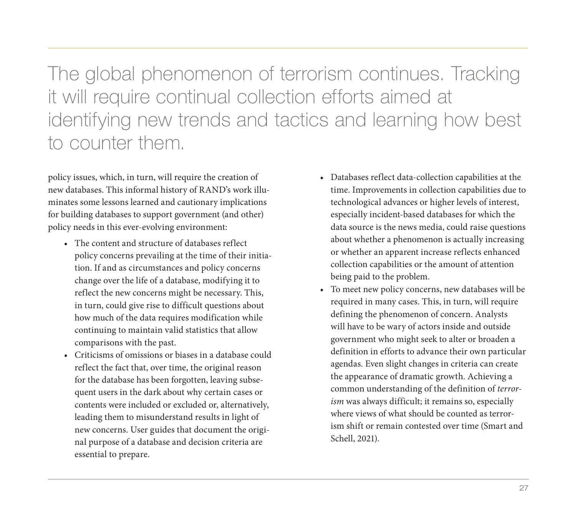The global phenomenon of terrorism continues. Tracking it will require continual collection efforts aimed at identifying new trends and tactics and learning how best to counter them.

policy issues, which, in turn, will require the creation of new databases. This informal history of RAND's work illuminates some lessons learned and cautionary implications for building databases to support government (and other) policy needs in this ever-evolving environment:

- The content and structure of databases reflect policy concerns prevailing at the time of their initiation. If and as circumstances and policy concerns change over the life of a database, modifying it to reflect the new concerns might be necessary. This, in turn, could give rise to difficult questions about how much of the data requires modification while continuing to maintain valid statistics that allow comparisons with the past.
- Criticisms of omissions or biases in a database could reflect the fact that, over time, the original reason for the database has been forgotten, leaving subsequent users in the dark about why certain cases or contents were included or excluded or, alternatively, leading them to misunderstand results in light of new concerns. User guides that document the original purpose of a database and decision criteria are essential to prepare.
- Databases reflect data-collection capabilities at the time. Improvements in collection capabilities due to technological advances or higher levels of interest, especially incident-based databases for which the data source is the news media, could raise questions about whether a phenomenon is actually increasing or whether an apparent increase reflects enhanced collection capabilities or the amount of attention being paid to the problem.
- To meet new policy concerns, new databases will be required in many cases. This, in turn, will require defining the phenomenon of concern. Analysts will have to be wary of actors inside and outside government who might seek to alter or broaden a definition in efforts to advance their own particular agendas. Even slight changes in criteria can create the appearance of dramatic growth. Achieving a common understanding of the definition of terrorism was always difficult; it remains so, especially where views of what should be counted as terrorism shift or remain contested over time (Smart and Schell, 2021).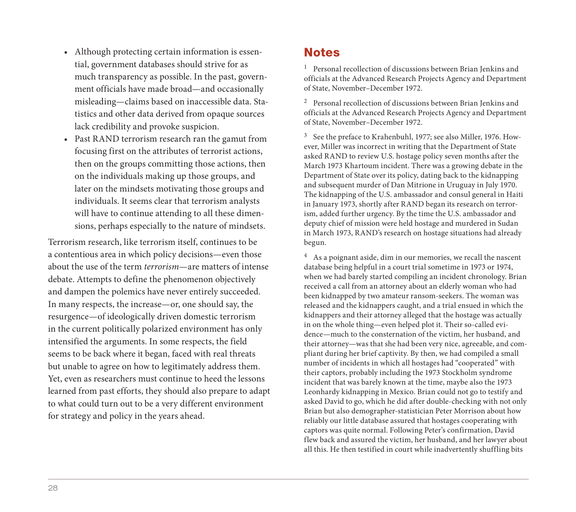- Although protecting certain information is essential, government databases should strive for as much transparency as possible. In the past, government officials have made broad—and occasionally misleading—claims based on inaccessible data. Statistics and other data derived from opaque sources lack credibility and provoke suspicion.
- Past RAND terrorism research ran the gamut from focusing first on the attributes of terrorist actions, then on the groups committing those actions, then on the individuals making up those groups, and later on the mindsets motivating those groups and individuals. It seems clear that terrorism analysts will have to continue attending to all these dimensions, perhaps especially to the nature of mindsets.

Terrorism research, like terrorism itself, continues to be a contentious area in which policy decisions—even those about the use of the term terrorism—are matters of intense debate. Attempts to define the phenomenon objectively and dampen the polemics have never entirely succeeded. In many respects, the increase—or, one should say, the resurgence—of ideologically driven domestic terrorism in the current politically polarized environment has only intensified the arguments. In some respects, the field seems to be back where it began, faced with real threats but unable to agree on how to legitimately address them. Yet, even as researchers must continue to heed the lessons learned from past efforts, they should also prepare to adapt to what could turn out to be a very different environment for strategy and policy in the years ahead.

#### **Notes**

<sup>1</sup> Personal recollection of discussions between Brian Jenkins and officials at the Advanced Research Projects Agency and Department of State, November–December 1972.

2 Personal recollection of discussions between Brian Jenkins and officials at the Advanced Research Projects Agency and Department of State, November–December 1972.

3 See the preface to Krahenbuhl, 1977; see also Miller, 1976. However, Miller was incorrect in writing that the Department of State asked RAND to review U.S. hostage policy seven months after the March 1973 Khartoum incident. There was a growing debate in the Department of State over its policy, dating back to the kidnapping and subsequent murder of Dan Mitrione in Uruguay in July 1970. The kidnapping of the U.S. ambassador and consul general in Haiti in January 1973, shortly after RAND began its research on terrorism, added further urgency. By the time the U.S. ambassador and deputy chief of mission were held hostage and murdered in Sudan in March 1973, RAND's research on hostage situations had already begun.

4 As a poignant aside, dim in our memories, we recall the nascent database being helpful in a court trial sometime in 1973 or 1974, when we had barely started compiling an incident chronology. Brian received a call from an attorney about an elderly woman who had been kidnapped by two amateur ransom-seekers. The woman was released and the kidnappers caught, and a trial ensued in which the kidnappers and their attorney alleged that the hostage was actually in on the whole thing—even helped plot it. Their so-called evidence—much to the consternation of the victim, her husband, and their attorney—was that she had been very nice, agreeable, and compliant during her brief captivity. By then, we had compiled a small number of incidents in which all hostages had "cooperated" with their captors, probably including the 1973 Stockholm syndrome incident that was barely known at the time, maybe also the 1973 Leonhardy kidnapping in Mexico. Brian could not go to testify and asked David to go, which he did after double-checking with not only Brian but also demographer-statistician Peter Morrison about how reliably our little database assured that hostages cooperating with captors was quite normal. Following Peter's confirmation, David flew back and assured the victim, her husband, and her lawyer about all this. He then testified in court while inadvertently shuffling bits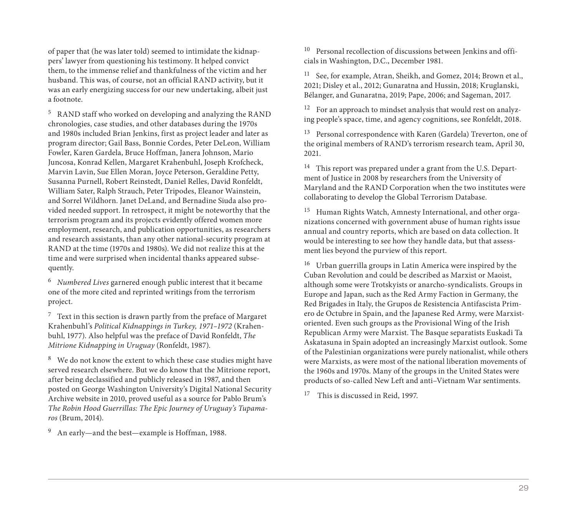of paper that (he was later told) seemed to intimidate the kidnappers' lawyer from questioning his testimony. It helped convict them, to the immense relief and thankfulness of the victim and her husband. This was, of course, not an official RAND activity, but it was an early energizing success for our new undertaking, albeit just a footnote.

5 RAND staff who worked on developing and analyzing the RAND chronologies, case studies, and other databases during the 1970s and 1980s included Brian Jenkins, first as project leader and later as program director; Gail Bass, Bonnie Cordes, Peter DeLeon, William Fowler, Karen Gardela, Bruce Hoffman, Janera Johnson, Mario Juncosa, Konrad Kellen, Margaret Krahenbuhl, Joseph Krofcheck, Marvin Lavin, Sue Ellen Moran, Joyce Peterson, Geraldine Petty, Susanna Purnell, Robert Reinstedt, Daniel Relles, David Ronfeldt, William Sater, Ralph Strauch, Peter Tripodes, Eleanor Wainstein, and Sorrel Wildhorn. Janet DeLand, and Bernadine Siuda also provided needed support. In retrospect, it might be noteworthy that the terrorism program and its projects evidently offered women more employment, research, and publication opportunities, as researchers and research assistants, than any other national-security program at RAND at the time (1970s and 1980s). We did not realize this at the time and were surprised when incidental thanks appeared subsequently.

 $6$  Numbered Lives garnered enough public interest that it became one of the more cited and reprinted writings from the terrorism project.

 $7$  Text in this section is drawn partly from the preface of Margaret Krahenbuhl's Political Kidnappings in Turkey, 1971–1972 (Krahenbuhl, 1977). Also helpful was the preface of David Ronfeldt, The Mitrione Kidnapping in Uruguay (Ronfeldt, 1987).

<sup>8</sup> We do not know the extent to which these case studies might have served research elsewhere. But we do know that the Mitrione report, after being declassified and publicly released in 1987, and then posted on George Washington University's Digital National Security Archive website in 2010, proved useful as a source for Pablo Brum's The Robin Hood Guerrillas: The Epic Journey of Uruguay's Tupamaros (Brum, 2014).

9 An early—and the best—example is Hoffman, 1988.

<sup>10</sup> Personal recollection of discussions between Jenkins and officials in Washington, D.C., December 1981.

<sup>11</sup> See, for example, Atran, Sheikh, and Gomez, 2014; Brown et al., 2021; Disley et al., 2012; Gunaratna and Hussin, 2018; Kruglanski, Bélanger, and Gunaratna, 2019; Pape, 2006; and Sageman, 2017.

12 For an approach to mindset analysis that would rest on analyzing people's space, time, and agency cognitions, see Ronfeldt, 2018.

13 Personal correspondence with Karen (Gardela) Treverton, one of the original members of RAND's terrorism research team, April 30, 2021.

<sup>14</sup> This report was prepared under a grant from the U.S. Department of Justice in 2008 by researchers from the University of Maryland and the RAND Corporation when the two institutes were collaborating to develop the Global Terrorism Database.

15 Human Rights Watch, Amnesty International, and other organizations concerned with government abuse of human rights issue annual and country reports, which are based on data collection. It would be interesting to see how they handle data, but that assessment lies beyond the purview of this report.

16 Urban guerrilla groups in Latin America were inspired by the Cuban Revolution and could be described as Marxist or Maoist, although some were Trotskyists or anarcho-syndicalists. Groups in Europe and Japan, such as the Red Army Faction in Germany, the Red Brigades in Italy, the Grupos de Resistencia Antifascista Primero de Octubre in Spain, and the Japanese Red Army, were Marxistoriented. Even such groups as the Provisional Wing of the Irish Republican Army were Marxist. The Basque separatists Euskadi Ta Askatasuna in Spain adopted an increasingly Marxist outlook. Some of the Palestinian organizations were purely nationalist, while others were Marxists, as were most of the national liberation movements of the 1960s and 1970s. Many of the groups in the United States were products of so-called New Left and anti–Vietnam War sentiments.

<sup>17</sup> This is discussed in Reid, 1997.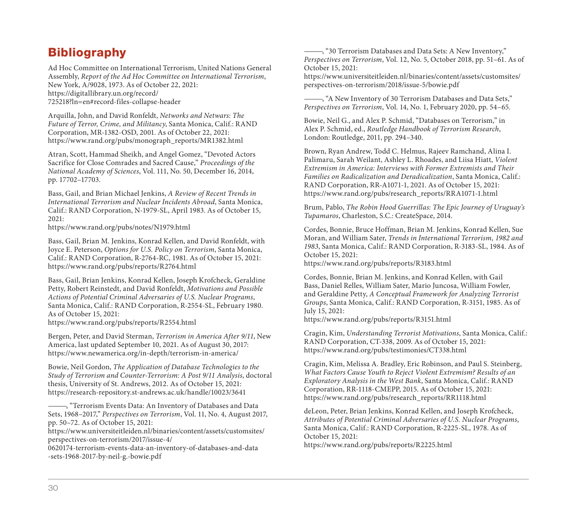# **Bibliography**

Ad Hoc Committee on International Terrorism, United Nations General Assembly, [Report of the Ad Hoc Committee on In](https://www.rand.org/pubs/reports/R2764.html)ternational Terrorism, New York, A/9028, 1973. As of October 22, 2021: https://digitallibrary.un.org/record/ 725218?ln=en#record-files-collapse-header

Arquilla, John, and David Ronfeldt, Networks and Netwars: The Future of Terror, Crime, and Militancy, Santa Monica, Calif.: RAND [Corporation, MR-1382-OSD, 2001. As of Octobe](https://www.rand.org/pubs/reports/R2554.html)r 22, 2021: https://www.rand.org/pubs/monograph\_reports/MR1382.html

Atran, Scott, Hammad Sheikh, and Angel Gomez, "Devoted Actors [Sacrifice for Close Comrades and Sacred Cause,"](https://www.newamerica.org/in-depth/terrorism-in-america/) Proceedings of the National Academy of Sciences, Vol. 111, No. 50, December 16, 2014, pp. 17702–17703.

Bass, Gail, and Brian Michael Jenkins, A Review of Recent Trends in [International Terrorism and Nuclear Incidents Abroad](https://research-repository.st-andrews.ac.uk/handle/10023/3641), Santa Monica, Calif.: RAND Corporation, N-1979-SL, April 1983. As of October 15, 2021:

https://www.rand.org/pubs/notes/N1979.html

[Bass, Gail, Brian M. Jenkins, Konrad Kellen, and David Ronfeldt, with](https://www.universiteitleiden.nl/binaries/content/assets/customsites/perspectives-on-terrorism/2017/issue-4/0620174-terrorism-events-data-an-inventory-of-databases-and-data-sets-1968-2017-by-neil-g.-bowie.pdf)  Joyce E. Peterson, Options for U.S. Policy on Terrorism, Santa Monica, Calif.: RAND Corporation, R-2764-RC, 1981. As of October 15, 2021: https://www.rand.org/pubs/reports/R2764.html

Bass, Gail, Brian Jenkins, Konrad Kellen, Joseph Krofcheck, Geraldine Petty, Robert Reinstedt, and David Ronfeldt, Motivations and Possible Actions of Potential Criminal Adversaries of U.S. Nuclear Programs, Santa Monica, Calif.: RAND Corporation, R-2554-SL, February 1980. As of October 15, 2021:

https://www.rand.org/pubs/reports/R2554.html

Bergen, Peter, and David Sterman, Terrorism in America After 9/11, New America, last updated September 10, 2021. As of August 30, 2017: https://www.newamerica.org/in-depth/terrorism-in-america/

Bowie, Neil Gordon, The Application of Database Technologies to the Study of Terrorism and Counter-Terrorism: A Post 9/11 Analysis, doctoral thesis, University of St. Andrews, 2012. As of October 15, 2021: https://research-repository.st-andrews.ac.uk/handle/10023/3641

———, "Terrorism Events Data: An Inventory of Databases and Data Sets, 1968–2017," Perspectives on Terrorism, Vol. 11, No. 4, August 2017, pp. 50–72. As of October 15, 2021:

https://www.universiteitleiden.nl/binaries/content/assets/customsites/ perspectives-on-terrorism/2017/issue-4/

0620174-terrorism-events-data-an-inventory-of-databases-and-data -sets-1968-2017-by-neil-g.-bowie.pdf

———, "30 Terrorism Databases and Data Sets: A New Inventory," Perspectives on Terrorism, Vol. 12, No. 5, October 2018, pp. 51–61. As of October 15, 2021:

[https://www.universiteitleiden.nl/binaries/conte](https://www.rand.org/pubs/reports/R3183.html)nt/assets/customsites/ perspectives-on-terrorism/2018/issue-5/bowie.pdf

, "A New Inventory of 30 Terrorism Databases and Data Sets," Perspectives on Terrorism, Vol. 14, No. 1, February 2020, pp. 54–65.

Bowie, Neil G., and Alex P. Schmid, "Databases on Terrorism," in Alex P. Schmid, ed., [Routledge Handbook of Terr](https://www.rand.org/pubs/reports/R3151.html)orism Research, London: Routledge, 2011, pp. 294–340.

Brown, Ryan Andrew, Todd C. Helmus, Rajeev Ramchand, Alina I. [Palimaru, Sarah Weilant, Ashley L. Rhoades, and Liis](https://www.rand.org/pubs/testimonies/CT338.html)a Hiatt, Violent Extremism in America: Interviews with Former Extremists and Their Families on Radicalization and Deradicalization, Santa Monica, Calif.: RAND Corporation, RR-A1071-1, 2021. As of October 15, 2021: https://www.rand.org/pubs/research\_reports/RRA1071-1.html

Brum, Pablo, [The Robin Hood Guerrillas: The Epic Journey o](https://www.rand.org/pubs/research_reports/RR1118.html)f Uruguay's Tupamaros, Charleston, S.C.: CreateSpace, 2014.

Cordes, Bonnie, Bruce Hoffman, Brian M. Jenkins, Konrad Kellen, Sue Moran, and William Sater, Trends in International Terrorism, 1982 and 1983, Santa Monica, Calif.: RAND Corporation, R-3183-SL, 1984. As of [October 15, 2021:](https://www.rand.org/pubs/reports/R2225.html) 

https://www.rand.org/pubs/reports/R3183.html

Cordes, Bonnie, Brian M. Jenkins, and Konrad Kellen, with Gail Bass, Daniel Relles, William Sater, Mario Juncosa, William Fowler, and Geraldine Petty, A Conceptual Framework for Analyzing Terrorist Groups, Santa Monica, Calif.: RAND Corporation, R-3151, 1985. As of July 15, 2021:

https://www.rand.org/pubs/reports/R3151.html

Cragin, Kim, Understanding Terrorist Motivations, Santa Monica, Calif.: RAND Corporation, CT-338, 2009. As of October 15, 2021: https://www.rand.org/pubs/testimonies/CT338.html

Cragin, Kim, Melissa A. Bradley, Eric Robinson, and Paul S. Steinberg, What Factors Cause Youth to Reject Violent Extremism? Results of an Exploratory Analysis in the West Bank, Santa Monica, Calif.: RAND Corporation, RR-1118-CMEPP, 2015. As of October 15, 2021: https://www.rand.org/pubs/research\_reports/RR1118.html

deLeon, Peter, Brian Jenkins, Konrad Kellen, and Joseph Krofcheck, Attributes of Potential Criminal Adversaries of U.S. Nuclear Programs, Santa Monica, Calif.: RAND Corporation, R-2225-SL, 1978. As of October 15, 2021:

https://www.rand.org/pubs/reports/R2225.html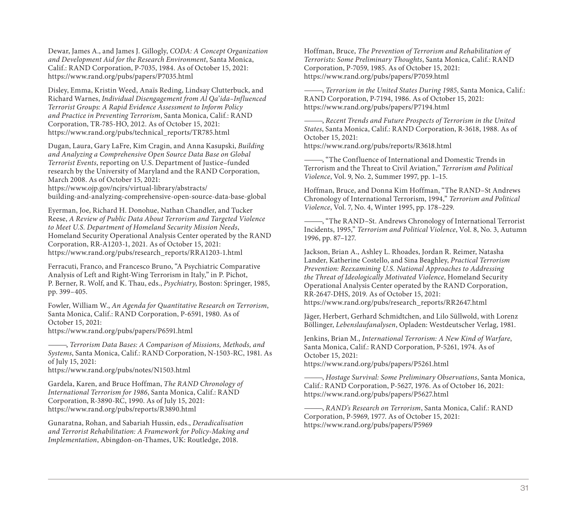Dewar, James A., and James J. Gillogly, CODA: A Concept Organization [and Development Aid for the Research Environment](https://www.rand.org/pubs/research_reports/RRA1203-1.html), Santa Monica, Calif.: RAND Corporation, P-7035, 1984. As of October 15, 2021: https://www.rand.org/pubs/papers/P7035.html

Disley, Emma, Kristin Weed, Anaïs Reding, Lindsay Clutterbuck, and Richard Warnes, Individual Disengagement from Al Qa'ida–Influenced Terrorist Groups: A Rapid Evidence Assessment to Inform Policy and Practice in Preventing Terrorism, Santa Monica, Calif.: RAND Corporation, TR-785-HO, 2012. As of October 15, 2021: [https://www.rand.org/pubs/technical\\_reports/T](https://www.rand.org/pubs/papers/P6591.html)R785.html

Dugan, Laura, Gary LaFre, Kim Cragin, and Anna Kasupski, Building and Analyzing a Comprehensive Open Source Data Base on Global Terrorist Events, reporting on U.S. Department of Justice–funded research by the University of Maryland and the RAND Corporation, [March 2008. As of October 15, 2021:](https://www.rand.org/pubs/notes/N1503.html)  https://www.ojp.gov/ncjrs/virtual-library/abstracts/

building-and-analyzing-comprehensive-open-source-data-base-global

Eyerman, Joe, Richard H. Donohue, Nathan Chandler, and Tucker Reese, [A Review of Public Data About Terrorism](https://www.rand.org/pubs/reports/R3890.html) and Targeted Violence to Meet U.S. Department of Homeland Security Mission Needs, Homeland Security Operational Analysis Center operated by the RAND Corporation, RR-A1203-1, 2021. As of October 15, 2021: https://www.rand.org/pubs/research\_reports/RRA1203-1.html

Ferracuti, Franco, and Francesco Bruno, "A Psychiatric Comparative Analysis of Left and Right-Wing Terrorism in Italy," in P. Pichot, P. Berner, R. Wolf, and K. Thau, eds., Psychiatry, Boston: Springer, 1985, pp. 399–405.

Fowler, William W., An Agenda for Quantitative Research on Terrorism, Santa Monica, Calif.: RAND Corporation, P-6591, 1980. As of October 15, 2021:

https://www.rand.org/pubs/papers/P6591.html

———, Terrorism Data Bases: A Comparison of Missions, Methods, and Systems, Santa Monica, Calif.: RAND Corporation, N-1503-RC, 1981. As of July 15, 2021:

https://www.rand.org/pubs/notes/N1503.html

Gardela, Karen, and Bruce Hoffman, The RAND Chronology of International Terrorism for 1986, Santa Monica, Calif.: RAND Corporation, R-3890-RC, 1990. As of July 15, 2021: https://www.rand.org/pubs/reports/R3890.html

Gunaratna, Rohan, and Sabariah Hussin, eds., Deradicalisation and Terrorist Rehabilitation: A Framework for Policy-Making and Implementation, Abingdon-on-Thames, UK: Routledge, 2018.

Hoffman, Bruce, The Prevention of Terrorism and Rehabilitation of Terrorists: Some Preliminary Thoughts, Santa Monica, Calif.: RAND Corporation, P-7059, 1985. As of October 15, 2021: https://www.rand.org/pubs/papers/P7059.html

, Terrorism in the United States During 1985, Santa Monica, Calif.: RAND Corporation, P-7194, 1986. As of October 15, 2021: [https://www.rand.org/pubs/papers/P7194.html](https://www.rand.org/pubs/research_reports/RR2647.html)

-, Recent Trends and Future Prospects of Terrorism in the United States, Santa Monica, Calif.: RAND Corporation, R-3618, 1988. As of October 15, 2021:

https://www.rand.org/pubs/reports/R3618.html

, "The Confluence of International and Domestic Trends in [Terrorism and the Threat to Civil Aviation,"](https://www.rand.org/pubs/papers/P5261.html) Terrorism and Political Violence, Vol. 9, No. 2, Summer 1997, pp. 1–15.

Hoffman, Bruce, and Donna Kim Hoffman, "The RAND–St Andrews [Chronology of International Terrorism, 1994,"](https://www.rand.org/pubs/papers/P5627.html) Terrorism and Political Violence, Vol. 7, No. 4, Winter 1995, pp. 178–229.

, "The RAND-St. Andrews Chronology of International Terrorist Incidents, 1995," [Terrorism and Political V](https://www.rand.org/pubs/papers/P5969)iolence, Vol. 8, No. 3, Autumn 1996, pp. 87–127.

Jackson, Brian A., Ashley L. Rhoades, Jordan R. Reimer, Natasha Lander, Katherine Costello, and Sina Beaghley, Practical Terrorism Prevention: Reexamining U.S. National Approaches to Addressing the Threat of Ideologically Motivated Violence, Homeland Security Operational Analysis Center operated by the RAND Corporation, RR-2647-DHS, 2019. As of October 15, 2021:

https://www.rand.org/pubs/research\_reports/RR2647.html

Jäger, Herbert, Gerhard Schmidtchen, and Lilo Süllwold, with Lorenz Böllinger, Lebenslaufanalysen, Opladen: Westdeutscher Verlag, 1981.

Jenkins, Brian M., International Terrorism: A New Kind of Warfare, Santa Monica, Calif.: RAND Corporation, P-5261, 1974. As of October 15, 2021:

https://www.rand.org/pubs/papers/P5261.html

, Hostage Survival: Some Preliminary Observations, Santa Monica, Calif.: RAND Corporation, P-5627, 1976. As of October 16, 2021: https://www.rand.org/pubs/papers/P5627.html

, RAND's Research on Terrorism, Santa Monica, Calif.: RAND Corporation, P-5969, 1977. As of October 15, 2021: https://www.rand.org/pubs/papers/P5969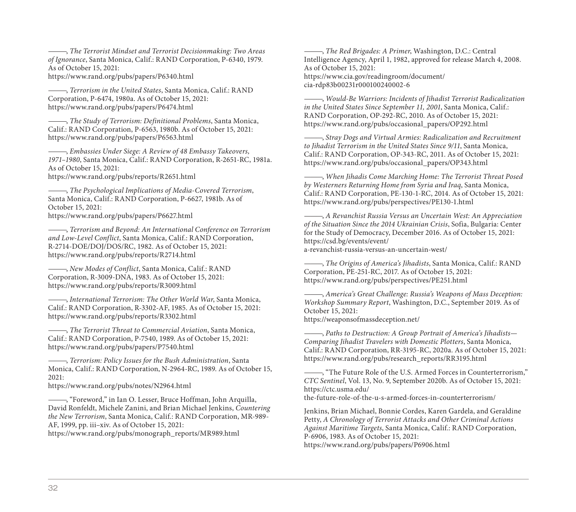———, The Terrorist Mindset and Terrorist Decisionmaking: Two Areas of Ignorance[, Santa Monica, Calif.: RAND Corpo](https://www.rand.org/pubs/reports/R2714.html)ration, P-6340, 1979. As of October 15, 2021:

https://www.rand.org/pubs/papers/P6340.html

-, [Terrorism in the United States](https://www.rand.org/pubs/reports/R3009.html), Santa Monica, Calif.: RAND Corporation, P-6474, 1980a. As of October 15, 2021: https://www.rand.org/pubs/papers/P6474.html

-, [The Study of Terrorism: Definitional Prob](https://www.rand.org/pubs/reports/R3302.html)lems, Santa Monica, Calif.: RAND Corporation, P-6563, 1980b. As of October 15, 2021: https://www.rand.org/pubs/papers/P6563.html

[Embassies Under Siege: A Review of 48 Em](https://www.rand.org/pubs/papers/P7540.html)bassy Takeovers, 1971–1980, Santa Monica, Calif.: RAND Corporation, R-2651-RC, 1981a. As of October 15, 2021:

https://www.rand.org/pubs/reports/R2651.html

———, [The Psychological Implications of Media](https://www.rand.org/pubs/notes/N2964.html)-Covered Terrorism, Santa Monica, Calif.: RAND Corporation, P-6627, 1981b. As of October 15, 2021:

https://www.rand.org/pubs/papers/P6627.html

———, Terrorism and Beyond: An International Conference on Terrorism and Low-Level Conflict[, Santa Monica, Calif.: RAND Corporat](https://www.rand.org/pubs/monograph_reports/MR989.html)ion, R-2714-DOE/DOJ/DOS/RC, 1982. As of October 15, 2021: https://www.rand.org/pubs/reports/R2714.html

———, New Modes of Conflict, Santa Monica, Calif.: RAND Corporation, R-3009-DNA, 1983. As of October 15, 2021: https://www.rand.org/pubs/reports/R3009.html

, International Terrorism: The Other World War, Santa Monica, Calif.: RAND Corporation, R-3302-AF, 1985. As of October 15, 2021: https://www.rand.org/pubs/reports/R3302.html

-, The Terrorist Threat to Commercial Aviation, Santa Monica, Calif.: RAND Corporation, P-7540, 1989. As of October 15, 2021: https://www.rand.org/pubs/papers/P7540.html

———, Terrorism: Policy Issues for the Bush Administration, Santa Monica, Calif.: RAND Corporation, N-2964-RC, 1989. As of October 15, 2021:

https://www.rand.org/pubs/notes/N2964.html

———, "Foreword," in Ian O. Lesser, Bruce Hoffman, John Arquilla, David Ronfeldt, Michele Zanini, and Brian Michael Jenkins, Countering the New Terrorism, Santa Monica, Calif.: RAND Corporation, MR-989- AF, 1999, pp. iii–xiv. As of October 15, 2021:

https://www.rand.org/pubs/monograph\_reports/MR989.html

-, The Red Brigades: A Primer, Washington, D.C.: Central [Intelligence Agency, April 1, 1982, approved fo](https://csd.bg/events/event/a-revanchist-russia-versus-an-uncertain-west/)r release March 4, 2008. As of October 15, 2021: https://www.cia.gov/readingroom/document/ [cia-rdp83b00231r000100240002-6](https://www.rand.org/pubs/perspectives/PE251.html)

———, Would-Be Warriors: Incidents of Jihadist Terrorist Radicalization in the United States Since September 11, 2001, Santa Monica, Calif.: RAND Corporation, OP-292-RC, 2010. As of October 15, 2021: [https://www.rand.org/pubs/occasiona](https://weaponsofmassdeception.net/)l\_papers/OP292.html

———, Stray Dogs and Virtual Armies: Radicalization and Recruitment to Jihadist Terrorism in the United States Since 9/11, Santa Monica, Calif.: RAND Corporation, OP-343-RC, 2011. As of October 15, 2021: [https://www.rand.org/pubs/occasional\\_papers/OP343.html](https://www.rand.org/pubs/research_reports/RR3195.html)

 $-$ , When Jihadis Come Marching Home: The Terrorist Threat Posed by Westerners Returning Home from Syria and Iraq, Santa Monica, Calif.: RAND Corporation, PE-130-1-RC, 2014. As of October 15, 2021: [https://www.rand.org/pubs/perspectives/PE130-1.html](https://ctc.usma.edu/the-future-role-of-the-u-s-armed-forces-in-counterterrorism/)

———, A Revanchist Russia Versus an Uncertain West: An Appreciation of the Situation Since the 2014 Ukrainian Crisis, Sofia, Bulgaria: Center for the Study of Democracy, December 2016. As of October 15, 2021: https://csd.bg/events/event/ [a-revanchist-russia-versus-an-uncertain-west/](https://www.rand.org/pubs/papers/P6906.html)

-, The Origins of America's Jihadists, Santa Monica, Calif.: RAND Corporation, PE-251-RC, 2017. As of October 15, 2021: https://www.rand.org/pubs/perspectives/PE251.html

 $_5$  America's Great Challenge: Russia's Weapons of Mass Deception: Workshop Summary Report, Washington, D.C., September 2019. As of October 15, 2021: https://weaponsofmassdeception.net/

-, Paths to Destruction: A Group Portrait of America's Jihadists— Comparing Jihadist Travelers with Domestic Plotters, Santa Monica, Calif.: RAND Corporation, RR-3195-RC, 2020a. As of October 15, 2021: https://www.rand.org/pubs/research\_reports/RR3195.html

, "The Future Role of the U.S. Armed Forces in Counterterrorism," CTC Sentinel, Vol. 13, No. 9, September 2020b. As of October 15, 2021: https://ctc.usma.edu/

the-future-role-of-the-u-s-armed-forces-in-counterterrorism/

Jenkins, Brian Michael, Bonnie Cordes, Karen Gardela, and Geraldine Petty, A Chronology of Terrorist Attacks and Other Criminal Actions Against Maritime Targets, Santa Monica, Calif.: RAND Corporation, P-6906, 1983. As of October 15, 2021: https://www.rand.org/pubs/papers/P6906.html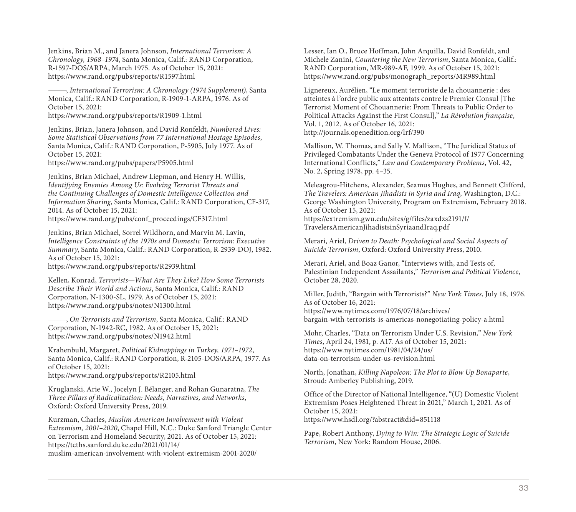Jenkins, Brian M., and Janera Johnson, International Terrorism: A Chronology, 1968–1974, Santa Monica, Calif.: RAND Corporation, R-1597-DOS/ARPA, March 1975. As of October 15, 2021: [https://www.rand.org/pubs/reports/R1597.html](https://www.rand.org/pubs/reports/R2939.html)

———, International Terrorism: A Chronology (1974 Supplement), Santa Monica, Calif.: RAND Corporation, R-1909-1-ARPA, 1976. As of October 15, 2021:

[https://www.rand.org/pubs/reports/R1909-1.ht](https://www.rand.org/pubs/notes/N1300.html)ml

Jenkins, Brian, Janera Johnson, and David Ronfeldt, Numbered Lives: Some Statistical Observations from 77 International Hostage Episodes, [Santa Monica, Calif.: RAND Corporation, P-59](https://www.rand.org/pubs/notes/N1942.html)05, July 1977. As of October 15, 2021:

https://www.rand.org/pubs/papers/P5905.html

Jenkins, Brian Michael, Andrew Liepman, and Henry H. Willis, [Identifying Enemies Among Us: Evolving Terroris](https://www.rand.org/pubs/reports/R2105.html)t Threats and the Continuing Challenges of Domestic Intelligence Collection and Information Sharing, Santa Monica, Calif.: RAND Corporation, CF-317, 2014. As of October 15, 2021:

https://www.rand.org/pubs/conf\_proceedings/CF317.html

Jenkins, Brian Michael, Sorrel Wildhorn, and Marvin M. Lavin, Intelligence Constraints of the 1970s and Domestic Terrorism: Executive Summary, [Santa Monica, Calif.: RAND Corporation, R-2939-DOJ, 1](https://tcths.sanford.duke.edu/2021/01/14/muslim-american-involvement-with-violent-extremism-2001-2020/)982. As of October 15, 2021:

https://www.rand.org/pubs/reports/R2939.html

Kellen, Konrad, Terrorists—What Are They Like? How Some Terrorists Describe Their World and Actions, Santa Monica, Calif.: RAND Corporation, N-1300-SL, 1979. As of October 15, 2021: https://www.rand.org/pubs/notes/N1300.html

———, On Terrorists and Terrorism, Santa Monica, Calif.: RAND Corporation, N-1942-RC, 1982. As of October 15, 2021: https://www.rand.org/pubs/notes/N1942.html

Krahenbuhl, Margaret, Political Kidnappings in Turkey, 1971–1972, Santa Monica, Calif.: RAND Corporation, R-2105-DOS/ARPA, 1977. As of October 15, 2021:

https://www.rand.org/pubs/reports/R2105.html

Kruglanski, Arie W., Jocelyn J. Bélanger, and Rohan Gunaratna, The Three Pillars of Radicalization: Needs, Narratives, and Networks, Oxford: Oxford University Press, 2019.

Kurzman, Charles, Muslim-American Involvement with Violent Extremism, 2001–2020, Chapel Hill, N.C.: Duke Sanford Triangle Center on Terrorism and Homeland Security, 2021. As of October 15, 2021: https://tcths.sanford.duke.edu/2021/01/14/ muslim-american-involvement-with-violent-extremism-2001-2020/

Lesser, Ian O., Bruce Hoffman, John Arquilla, David Ronfeldt, and Michele Zanini, Countering the New Terrorism, Santa Monica, Calif.: RAND Corporation, MR-989-AF, 1999. As of October 15, 2021: https://www.rand.org/pubs/monograph\_reports/MR989.html

Lignereux, Aurélien, "Le moment terroriste de la chouannerie : des atteintes à l'ordre public aux attentats contre le Premier Consul [The Terrorist Moment of Chouannerie: From Threats to Public Order to Political Attacks Against the First Consul]," La Révolution française, [Vol. 1, 2012. As of October 16, 2021:](https://www.nytimes.com/1976/07/18/archives/bargain-with-terrorists-is-americas-nonegotiating-policy-a.html)  http://journals.openedition.org/lrf/390

Mallison, W. Thomas, and Sally V. Mallison, "The Juridical Status of [Privileged Combatants Under the Geneva P](https://www.nytimes.com/1981/04/24/us/data-on-terrorism-under-us-revision.html)rotocol of 1977 Concerning International Conflicts," Law and Contemporary Problems, Vol. 42, No. 2, Spring 1978, pp. 4–35.

Meleagrou-Hitchens, Alexander, Seamus Hughes, and Bennett Clifford, The Travelers: American Jihadists in Syria and Iraq, Washington, D.C.: George Washington University, Program on Extremism, February 2018. As of October 15, 2021: https://extremism.gwu.edu/sites/g/files/zaxdzs2191/f/ [TravelersAmericanJihadistsinSyriaandIraq.p](https://www.hsdl.org/?abstract&did=851118)df

Merari, Ariel, Driven to Death: Psychological and Social Aspects of Suicide Terrorism, Oxford: Oxford University Press, 2010.

Merari, Ariel, and Boaz Ganor, "Interviews with, and Tests of, Palestinian Independent Assailants," Terrorism and Political Violence, October 28, 2020.

Miller, Judith, "Bargain with Terrorists?" New York Times, July 18, 1976. As of October 16, 2021: https://www.nytimes.com/1976/07/18/archives/ bargain-with-terrorists-is-americas-nonegotiating-policy-a.html

Mohr, Charles, "Data on Terrorism Under U.S. Revision," New York Times, April 24, 1981, p. A17. As of October 15, 2021: https://www.nytimes.com/1981/04/24/us/ data-on-terrorism-under-us-revision.html

North, Jonathan, Killing Napoleon: The Plot to Blow Up Bonaparte, Stroud: Amberley Publishing, 2019.

Office of the Director of National Intelligence, "(U) Domestic Violent Extremism Poses Heightened Threat in 2021," March 1, 2021. As of October 15, 2021: https://www.hsdl.org/?abstract&did=851118

Pape, Robert Anthony, Dying to Win: The Strategic Logic of Suicide Terrorism, New York: Random House, 2006.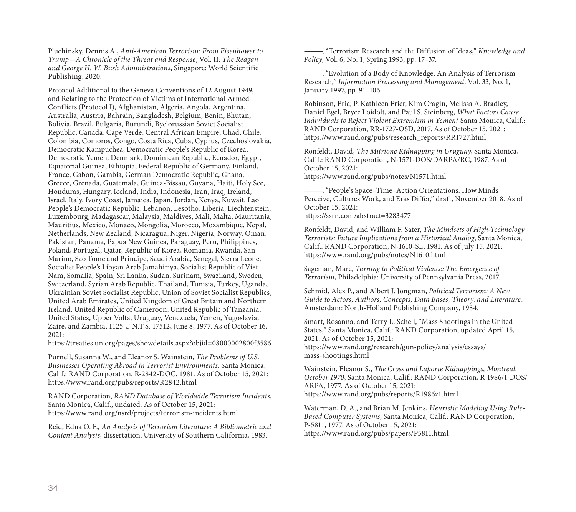Pluchinsky, Dennis A., Anti-American Terrorism: From Eisenhower to Trump—A Chronicle of the Threat and Response, Vol. II: The Reagan and George H. W. Bush Administrations, Singapore: World Scientific Publishing, 2020.

Protocol Additional to the Geneva Conventions of 12 August 1949, and Relating to the Protection of Victims of International Armed Conflicts (Protocol I), Afghanistan, Algeria, Angola, Argentina, Australia, Austria, Bahrain, Bangladesh, Belgium, Benin, Bhutan, Bolivia, Brazil, Bulgaria, Burundi, Byelorussian Soviet Socialist Republic, Canada, Cape Verde, Central African Empire, Chad, Chile, Colombia, Comoros, Congo, Costa Rica, Cuba, Cyprus, Czechoslovakia, [Democratic Kampuchea, Democratic People's Republic of Korea,](https://treaties.un.org/pages/showdetails.aspx?objid=08000002800f3586)  Democratic Yemen, Denmark, Dominican Republic, Ecuador, Egypt, Equatorial Guinea, Ethiopia, Federal Republic of Germany, Finland, France, Gabon, Gambia, German Democratic Republic, Ghana, Greece, Grenada, Guatemala, Guinea-Bissau, Guyana, Haiti, Holy See, [Honduras, Hungary, Iceland, India, Indonesia, Ir](https://www.rand.org/pubs/reports/R2842.html)an, Iraq, Ireland, Israel, Italy, Ivory Coast, Jamaica, Japan, Jordan, Kenya, Kuwait, Lao People's Democratic Republic, Lebanon, Lesotho, Liberia, Liechtenstein, [Luxembourg, Madagascar, Malaysia, Maldives, Mali, Malta, M](https://www.rand.org/nsrd/projects/terrorism-incidents.html)auritania, Mauritius, Mexico, Monaco, Mongolia, Morocco, Mozambique, Nepal, Netherlands, New Zealand, Nicaragua, Niger, Nigeria, Norway, Oman, Pakistan, Panama, Papua New Guinea, Paraguay, Peru, Philippines, Poland, Portugal, Qatar, Republic of Korea, Romania, Rwanda, San Marino, Sao Tome and Principe, Saudi Arabia, Senegal, Sierra Leone, Socialist People's Libyan Arab Jamahiriya, Socialist Republic of Viet Nam, Somalia, Spain, Sri Lanka, Sudan, Surinam, Swaziland, Sweden, Switzerland, Syrian Arab Republic, Thailand, Tunisia, Turkey, Uganda, Ukrainian Soviet Socialist Republic, Union of Soviet Socialist Republics, United Arab Emirates, United Kingdom of Great Britain and Northern Ireland, United Republic of Cameroon, United Republic of Tanzania, United States, Upper Volta, Uruguay, Venezuela, Yemen, Yugoslavia, Zaire, and Zambia, 1125 U.N.T.S. 17512, June 8, 1977. As of October 16, 2021:

https://treaties.un.org/pages/showdetails.aspx?objid=08000002800f3586

Purnell, Susanna W., and Eleanor S. Wainstein, The Problems of U.S. Businesses Operating Abroad in Terrorist Environments, Santa Monica, Calif.: RAND Corporation, R-2842-DOC, 1981. As of October 15, 2021: https://www.rand.org/pubs/reports/R2842.html

RAND Corporation, RAND Database of Worldwide Terrorism Incidents, Santa Monica, Calif., undated. As of October 15, 2021: https://www.rand.org/nsrd/projects/terrorism-incidents.html

Reid, Edna O. F., An Analysis of Terrorism Literature: A Bibliometric and Content Analysis, dissertation, University of Southern California, 1983.

-, "Terrorism Research and the Diffusion of Ideas," Knowledge and Policy, [Vol. 6, No. 1, Spring 1993, pp. 17–37.](https://www.rand.org/pubs/notes/N1610.html)

———, "Evolution of a Body of Knowledge: An Analysis of Terrorism Research," Information Processing and Management, Vol. 33, No. 1, January 1997, pp. 91–106.

Robinson, Eric, P. Kathleen Frier, Kim Cragin, Melissa A. Bradley, Daniel Egel, Bryce Loidolt, and Paul S. Steinberg, What Factors Cause Individuals to Reject Violent Extremism in Yemen? Santa Monica, Calif.: RAND Corporation, RR-1727-OSD, 2017. As of October 15, 2021: https://www.rand.org/pubs/research\_reports/RR1727.html

Ronfeldt, David, The Mitrione Kidnapping in Uruguay, Santa Monica, [Calif.: RAND Corporation, N-1571-DOS/DARPA/RC, 1987](https://www.rand.org/research/gun-policy/analysis/essays/mass-shootings.html). As of October 15, 2021:

https://www.rand.org/pubs/notes/N1571.html

———, "People's Space–Time–Action Orientations: How Minds [Perceive, Cultures Work, and Eras Differ," draft, N](https://www.rand.org/pubs/reports/R1986z1.html)ovember 2018. As of October 15, 2021:

https://ssrn.com/abstract=3283477

Ronfeldt, David, and William F. Sater, The Mindsets of High-Technology [Terrorists: Future Implications from a Historica](https://www.rand.org/pubs/papers/P5811.html)l Analog, Santa Monica, Calif.: RAND Corporation, N-1610-SL, 1981. As of July 15, 2021: https://www.rand.org/pubs/notes/N1610.html

Sageman, Marc, Turning to Political Violence: The Emergence of Terrorism, Philadelphia: University of Pennsylvania Press, 2017.

Schmid, Alex P., and Albert J. Jongman, Political Terrorism: A New Guide to Actors, Authors, Concepts, Data Bases, Theory, and Literature, Amsterdam: North-Holland Publishing Company, 1984.

Smart, Rosanna, and Terry L. Schell, "Mass Shootings in the United States," Santa Monica, Calif.: RAND Corporation, updated April 15, 2021. As of October 15, 2021: https://www.rand.org/research/gun-policy/analysis/essays/ mass-shootings.html

Wainstein, Eleanor S., The Cross and Laporte Kidnappings, Montreal, October 1970, Santa Monica, Calif.: RAND Corporation, R-1986/1-DOS/ ARPA, 1977. As of October 15, 2021: https://www.rand.org/pubs/reports/R1986z1.html

Waterman, D. A., and Brian M. Jenkins, Heuristic Modeling Using Rule-Based Computer Systems, Santa Monica, Calif.: RAND Corporation, P-5811, 1977. As of October 15, 2021: https://www.rand.org/pubs/papers/P5811.html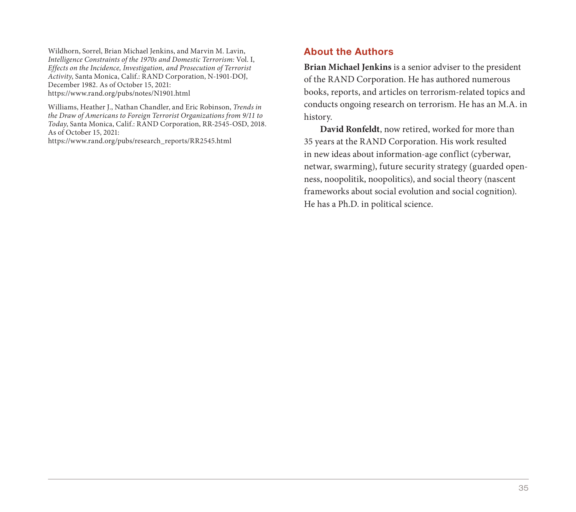Wildhorn, Sorrel, Brian Michael Jenkins, and Marvin M. Lavin, Intelligence Constraints of the 1970s and Domestic Terrorism: Vol. I, Effects on the Incidence, Investigation, and Prosecution of Terrorist Activity, Santa Monica, Calif.: RAND Corporation, N-1901-DOJ, December 1982. As of October 15, 2021: https://www.rand.org/pubs/notes/N1901.html

Williams, Heather J., Nathan Chandler, and Eric Robinson, Trends in the Draw of Americans to Foreign Terrorist Organizations from 9/11 to Today, Santa Monica, Calif.: RAND Corporation, RR-2545-OSD, 2018. As of October 15, 2021:

https://www.rand.org/pubs/research\_reports/RR2545.html

#### About the Authors

**Brian Michael Jenkins** is a senior adviser to the president of the RAND Corporation. He has authored numerous books, reports, and articles on terrorism-related topics and conducts ongoing research on terrorism. He has an M.A. in history.

**David Ronfeldt**, now retired, worked for more than 35 years at the RAND Corporation. His work resulted in new ideas about information-age conflict (cyberwar, netwar, swarming), future security strategy (guarded openness, noopolitik, noopolitics), and social theory (nascent frameworks about social evolution and social cognition). He has a Ph.D. in political science.